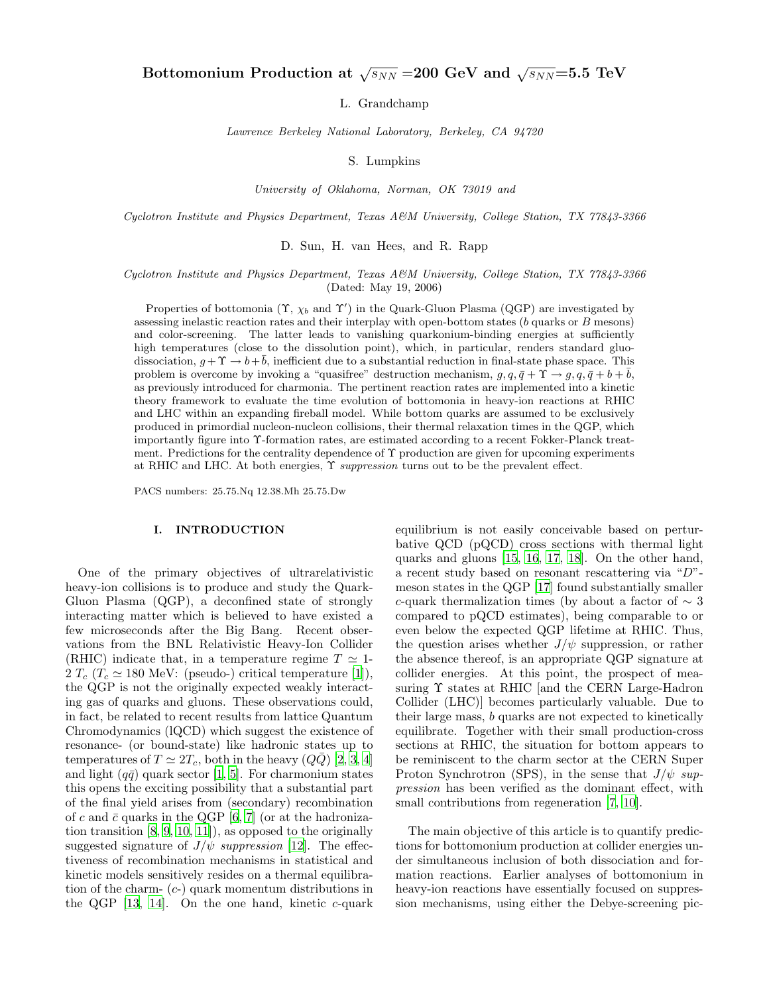L. Grandchamp

Lawrence Berkeley National Laboratory, Berkeley, CA 94720

S. Lumpkins

University of Oklahoma, Norman, OK 73019 and

Cyclotron Institute and Physics Department, Texas A&M University, College Station, TX 77843-3366

D. Sun, H. van Hees, and R. Rapp

## Cyclotron Institute and Physics Department, Texas A&M University, College Station, TX 77843-3366 (Dated: May 19, 2006)

Properties of bottomonia  $(\Upsilon, \chi_b)$  and  $\Upsilon'$  in the Quark-Gluon Plasma (QGP) are investigated by assessing inelastic reaction rates and their interplay with open-bottom states (b quarks or B mesons) and color-screening. The latter leads to vanishing quarkonium-binding energies at sufficiently high temperatures (close to the dissolution point), which, in particular, renders standard gluodissociation,  $g + \Upsilon \rightarrow b + b$ , inefficient due to a substantial reduction in final-state phase space. This problem is overcome by invoking a "quasifree" destruction mechanism,  $g, q, \bar{q} + \Upsilon \rightarrow g, q, \bar{q} + b + \bar{b}$ , as previously introduced for charmonia. The pertinent reaction rates are implemented into a kinetic theory framework to evaluate the time evolution of bottomonia in heavy-ion reactions at RHIC and LHC within an expanding fireball model. While bottom quarks are assumed to be exclusively produced in primordial nucleon-nucleon collisions, their thermal relaxation times in the QGP, which importantly figure into Υ-formation rates, are estimated according to a recent Fokker-Planck treatment. Predictions for the centrality dependence of  $\Upsilon$  production are given for upcoming experiments at RHIC and LHC. At both energies, Υ suppression turns out to be the prevalent effect.

PACS numbers: 25.75.Nq 12.38.Mh 25.75.Dw

## I. INTRODUCTION

One of the primary objectives of ultrarelativistic heavy-ion collisions is to produce and study the Quark-Gluon Plasma (QGP), a deconfined state of strongly interacting matter which is believed to have existed a few microseconds after the Big Bang. Recent observations from the BNL Relativistic Heavy-Ion Collider (RHIC) indicate that, in a temperature regime  $T \simeq 1$ -2  $T_c$  ( $T_c \simeq 180$  MeV: (pseudo-) critical temperature [\[1\]](#page-16-0)), the QGP is not the originally expected weakly interacting gas of quarks and gluons. These observations could, in fact, be related to recent results from lattice Quantum Chromodynamics (lQCD) which suggest the existence of resonance- (or bound-state) like hadronic states up to temperatures of  $T \simeq 2T_c$ , both in the heavy  $(Q\bar{Q})$  [\[2,](#page-16-1) [3](#page-16-2), [4](#page-16-3)] and light  $(q\bar{q})$  quark sector [\[1](#page-16-0), [5](#page-16-4)]. For charmonium states this opens the exciting possibility that a substantial part of the final yield arises from (secondary) recombination of c and  $\bar{c}$  quarks in the QGP [\[6](#page-16-5), [7\]](#page-16-6) (or at the hadronization transition [\[8,](#page-16-7) [9](#page-16-8), [10,](#page-16-9) [11](#page-16-10)]), as opposed to the originally suggested signature of  $J/\psi$  suppression [\[12\]](#page-16-11). The effectiveness of recombination mechanisms in statistical and kinetic models sensitively resides on a thermal equilibration of the charm-  $(c-)$  quark momentum distributions in the QGP  $[13, 14]$  $[13, 14]$  $[13, 14]$ . On the one hand, kinetic c-quark equilibrium is not easily conceivable based on perturbative QCD (pQCD) cross sections with thermal light quarks and gluons [\[15](#page-16-14), [16,](#page-16-15) [17,](#page-16-16) [18\]](#page-16-17). On the other hand, a recent study based on resonant rescattering via "D" meson states in the QGP [\[17](#page-16-16)] found substantially smaller c-quark thermalization times (by about a factor of  $\sim 3$ compared to pQCD estimates), being comparable to or even below the expected QGP lifetime at RHIC. Thus, the question arises whether  $J/\psi$  suppression, or rather the absence thereof, is an appropriate QGP signature at collider energies. At this point, the prospect of measuring Υ states at RHIC [and the CERN Large-Hadron Collider (LHC)] becomes particularly valuable. Due to their large mass, b quarks are not expected to kinetically equilibrate. Together with their small production-cross sections at RHIC, the situation for bottom appears to be reminiscent to the charm sector at the CERN Super Proton Synchrotron (SPS), in the sense that  $J/\psi$  suppression has been verified as the dominant effect, with small contributions from regeneration [\[7](#page-16-6), [10](#page-16-9)].

The main objective of this article is to quantify predictions for bottomonium production at collider energies under simultaneous inclusion of both dissociation and formation reactions. Earlier analyses of bottomonium in heavy-ion reactions have essentially focused on suppression mechanisms, using either the Debye-screening pic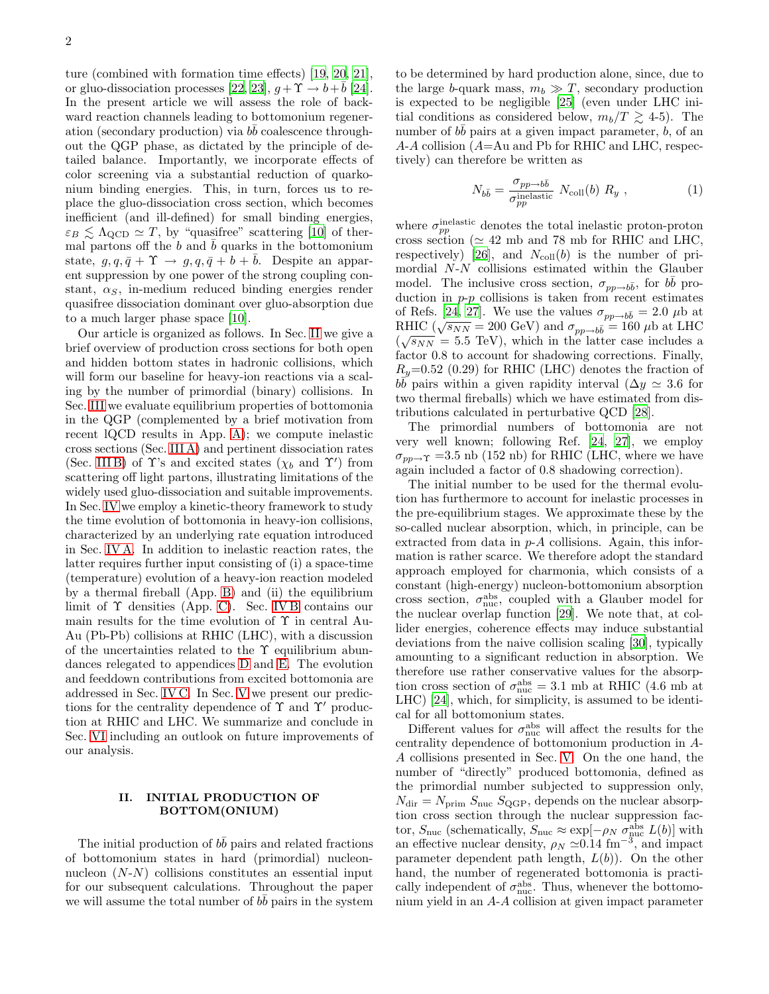ture (combined with formation time effects) [\[19,](#page-16-18) [20,](#page-16-19) [21\]](#page-16-20), or gluo-dissociation processes [\[22](#page-16-21), [23](#page-16-22)],  $g + \Upsilon \rightarrow b + \overline{b}$  [\[24\]](#page-16-23). In the present article we will assess the role of backward reaction channels leading to bottomonium regeneration (secondary production) via  $b\bar{b}$  coalescence throughout the QGP phase, as dictated by the principle of detailed balance. Importantly, we incorporate effects of color screening via a substantial reduction of quarkonium binding energies. This, in turn, forces us to replace the gluo-dissociation cross section, which becomes inefficient (and ill-defined) for small binding energies,  $\varepsilon_B \lesssim \Lambda_{\rm QCD} \simeq T$ , by "quasifree" scattering [\[10\]](#page-16-9) of thermal partons off the b and  $\bar{b}$  quarks in the bottomonium state,  $q, q, \bar{q} + \Upsilon \rightarrow q, q, \bar{q} + b + \bar{b}$ . Despite an apparent suppression by one power of the strong coupling constant,  $\alpha_S$ , in-medium reduced binding energies render quasifree dissociation dominant over gluo-absorption due to a much larger phase space [\[10](#page-16-9)].

Our article is organized as follows. In Sec. [II](#page-1-0) we give a brief overview of production cross sections for both open and hidden bottom states in hadronic collisions, which will form our baseline for heavy-ion reactions via a scaling by the number of primordial (binary) collisions. In Sec. [III](#page-2-0) we evaluate equilibrium properties of bottomonia in the QGP (complemented by a brief motivation from recent lQCD results in App. [A\)](#page-11-0); we compute inelastic cross sections (Sec. [III A\)](#page-2-1) and pertinent dissociation rates (Sec. IIIB) of  $\Upsilon$ 's and excited states ( $\chi_b$  and  $\Upsilon'$ ) from scattering off light partons, illustrating limitations of the widely used gluo-dissociation and suitable improvements. In Sec. [IV](#page-4-0) we employ a kinetic-theory framework to study the time evolution of bottomonia in heavy-ion collisions, characterized by an underlying rate equation introduced in Sec. [IV A.](#page-4-1) In addition to inelastic reaction rates, the latter requires further input consisting of (i) a space-time (temperature) evolution of a heavy-ion reaction modeled by a thermal fireball (App. [B\)](#page-12-0) and (ii) the equilibrium limit of Υ densities (App. [C\)](#page-12-1). Sec. [IV B](#page-6-0) contains our main results for the time evolution of  $\Upsilon$  in central Au-Au (Pb-Pb) collisions at RHIC (LHC), with a discussion of the uncertainties related to the Υ equilibrium abundances relegated to appendices [D](#page-14-0) and [E.](#page-15-0) The evolution and feeddown contributions from excited bottomonia are addressed in Sec. [IV C.](#page-8-0) In Sec. [V](#page-8-1) we present our predictions for the centrality dependence of  $\Upsilon$  and  $\Upsilon'$  production at RHIC and LHC. We summarize and conclude in Sec. [VI](#page-10-0) including an outlook on future improvements of our analysis.

## II. INITIAL PRODUCTION OF BOTTOM(ONIUM)

<span id="page-1-0"></span>The initial production of  $b\bar{b}$  pairs and related fractions of bottomonium states in hard (primordial) nucleonnucleon  $(N-N)$  collisions constitutes an essential input for our subsequent calculations. Throughout the paper we will assume the total number of  $b\bar{b}$  pairs in the system to be determined by hard production alone, since, due to the large b-quark mass,  $m_b \gg T$ , secondary production is expected to be negligible [\[25\]](#page-16-24) (even under LHC initial conditions as considered below,  $m_b/T \gtrsim 4-5$ . The number of  $b\bar{b}$  pairs at a given impact parameter,  $\tilde{b}$ , of an A-A collision (A=Au and Pb for RHIC and LHC, respectively) can therefore be written as

$$
N_{b\bar{b}} = \frac{\sigma_{pp \to b\bar{b}}}{\sigma_{pp}^{\text{inelastic}}} N_{\text{coll}}(b) R_y , \qquad (1)
$$

where  $\sigma_{pp}^{\text{inelastic}}$  denotes the total inelastic proton-proton cross section ( $\simeq$  42 mb and 78 mb for RHIC and LHC, respectively) [\[26](#page-16-25)], and  $N_{\text{coll}}(b)$  is the number of primordial N-N collisions estimated within the Glauber model. The inclusive cross section,  $\sigma_{pp\rightarrow b\bar{b}}$ , for  $b\bar{b}$  production in  $p-p$  collisions is taken from recent estimates of Refs. [\[24,](#page-16-23) [27](#page-16-26)]. We use the values  $\sigma_{pp\rightarrow b\bar{b}} = 2.0 \mu b$  at RHIC ( $\sqrt{s_{NN}} = 200 \text{ GeV}$ ) and  $\sigma_{pp \to b\bar{b}} = 160 \mu\text{b}$  at LHC  $(\sqrt{s_{NN}} = 5.5$  TeV), which in the latter case includes a factor 0.8 to account for shadowing corrections. Finally,  $R_y=0.52$  (0.29) for RHIC (LHC) denotes the fraction of  $b\overline{b}$  pairs within a given rapidity interval ( $\Delta y \simeq 3.6$  for two thermal fireballs) which we have estimated from distributions calculated in perturbative QCD [\[28\]](#page-16-27).

The primordial numbers of bottomonia are not very well known; following Ref. [\[24,](#page-16-23) [27](#page-16-26)], we employ  $\sigma_{pp\rightarrow\Upsilon}$  =3.5 nb (152 nb) for RHIC (LHC, where we have again included a factor of 0.8 shadowing correction).

The initial number to be used for the thermal evolution has furthermore to account for inelastic processes in the pre-equilibrium stages. We approximate these by the so-called nuclear absorption, which, in principle, can be extracted from data in  $p-A$  collisions. Again, this information is rather scarce. We therefore adopt the standard approach employed for charmonia, which consists of a constant (high-energy) nucleon-bottomonium absorption cross section,  $\sigma_{\text{nuc}}^{\text{abs}}$ , coupled with a Glauber model for the nuclear overlap function [\[29](#page-16-28)]. We note that, at collider energies, coherence effects may induce substantial deviations from the naive collision scaling [\[30\]](#page-16-29), typically amounting to a significant reduction in absorption. We therefore use rather conservative values for the absorption cross section of  $\sigma_{\text{nuc}}^{\text{abs}} = 3.1 \text{ mb at RHIC}$  (4.6 mb at LHC) [\[24\]](#page-16-23), which, for simplicity, is assumed to be identical for all bottomonium states.

Different values for  $\sigma_{\text{nuc}}^{\text{abs}}$  will affect the results for the centrality dependence of bottomonium production in A-A collisions presented in Sec. [V.](#page-8-1) On the one hand, the number of "directly" produced bottomonia, defined as the primordial number subjected to suppression only,  $N_{\text{dir}} = N_{\text{prim}} S_{\text{nuc}} S_{\text{QGP}}$ , depends on the nuclear absorption cross section through the nuclear suppression factor,  $S_{\text{nuc}}$  (schematically,  $S_{\text{nuc}} \approx \exp[-\rho_N \sigma_{\text{nuc}}^{\text{abs}} L(b)]$  with an effective nuclear density,  $\rho_N \simeq 0.14 \text{ fm}^{-3}$ , and impact parameter dependent path length,  $L(b)$ ). On the other hand, the number of regenerated bottomonia is practically independent of  $\sigma_{\text{nuc}}^{\text{abs}}$ . Thus, whenever the bottomonium yield in an A-A collision at given impact parameter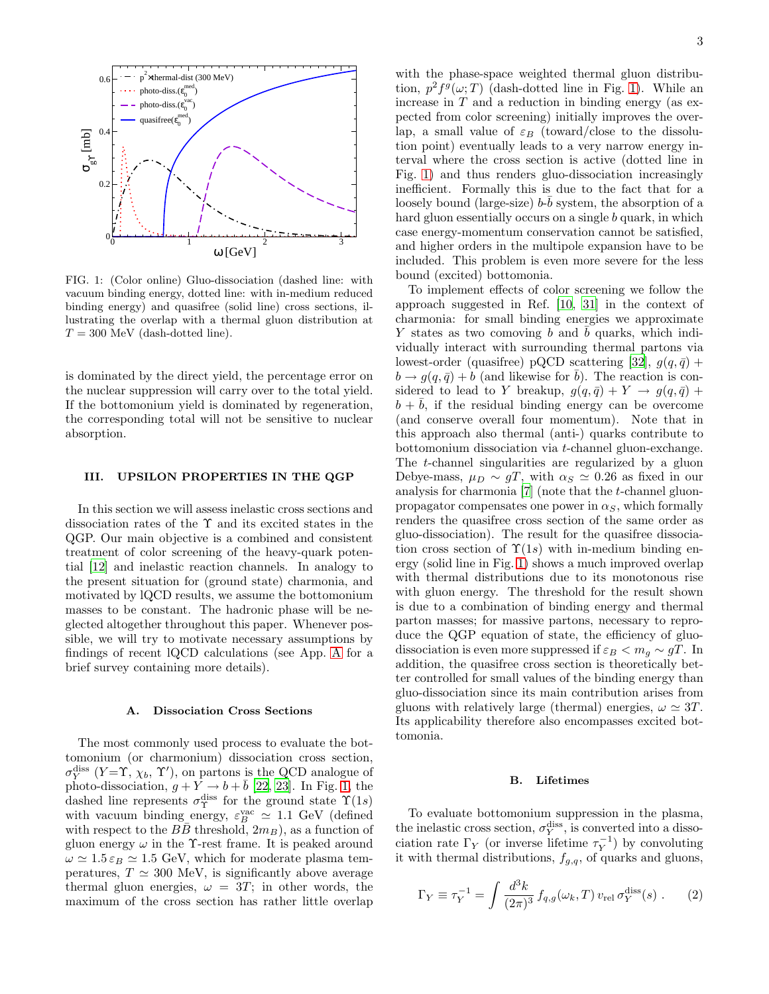

<span id="page-2-3"></span>FIG. 1: (Color online) Gluo-dissociation (dashed line: with vacuum binding energy, dotted line: with in-medium reduced binding energy) and quasifree (solid line) cross sections, illustrating the overlap with a thermal gluon distribution at  $T = 300$  MeV (dash-dotted line).

is dominated by the direct yield, the percentage error on the nuclear suppression will carry over to the total yield. If the bottomonium yield is dominated by regeneration, the corresponding total will not be sensitive to nuclear absorption.

# III. UPSILON PROPERTIES IN THE QGP

<span id="page-2-0"></span>In this section we will assess inelastic cross sections and dissociation rates of the Υ and its excited states in the QGP. Our main objective is a combined and consistent treatment of color screening of the heavy-quark potential [\[12\]](#page-16-11) and inelastic reaction channels. In analogy to the present situation for (ground state) charmonia, and motivated by lQCD results, we assume the bottomonium masses to be constant. The hadronic phase will be neglected altogether throughout this paper. Whenever possible, we will try to motivate necessary assumptions by findings of recent lQCD calculations (see App. [A](#page-11-0) for a brief survey containing more details).

## A. Dissociation Cross Sections

<span id="page-2-1"></span>The most commonly used process to evaluate the bottomonium (or charmonium) dissociation cross section,  $\sigma_Y^{\text{diss}}$   $(Y = \Upsilon, \chi_b, \Upsilon')$ , on partons is the QCD analogue of photo-dissociation,  $g + Y \rightarrow b + \bar{b}$  [\[22,](#page-16-21) [23\]](#page-16-22). In Fig. [1,](#page-2-3) the dashed line represents  $\sigma_{\Upsilon}^{\text{diss}}$  for the ground state  $\Upsilon(1s)$ with vacuum binding energy,  $\varepsilon_B^{\text{vac}} \simeq 1.1 \text{ GeV}$  (defined with respect to the  $B\overline{B}$  threshold,  $2m_B$ ), as a function of gluon energy  $\omega$  in the Y-rest frame. It is peaked around  $\omega \simeq 1.5 \varepsilon_B \simeq 1.5$  GeV, which for moderate plasma temperatures,  $T \simeq 300$  MeV, is significantly above average thermal gluon energies,  $\omega = 3T$ ; in other words, the maximum of the cross section has rather little overlap with the phase-space weighted thermal gluon distribution,  $p^2 f^g(\omega; T)$  (dash-dotted line in Fig. [1\)](#page-2-3). While an increase in  $T$  and a reduction in binding energy (as expected from color screening) initially improves the overlap, a small value of  $\varepsilon_B$  (toward/close to the dissolution point) eventually leads to a very narrow energy interval where the cross section is active (dotted line in Fig. [1\)](#page-2-3) and thus renders gluo-dissociation increasingly inefficient. Formally this is due to the fact that for a loosely bound (large-size)  $b-\bar{b}$  system, the absorption of a hard gluon essentially occurs on a single b quark, in which case energy-momentum conservation cannot be satisfied, and higher orders in the multipole expansion have to be included. This problem is even more severe for the less bound (excited) bottomonia.

To implement effects of color screening we follow the approach suggested in Ref. [\[10,](#page-16-9) [31](#page-16-30)] in the context of charmonia: for small binding energies we approximate Y states as two comoving b and  $\bar{b}$  quarks, which individually interact with surrounding thermal partons via lowest-order (quasifree) pQCD scattering [\[32](#page-16-31)],  $g(q, \bar{q})$  +  $b \rightarrow g(q, \bar{q}) + b$  (and likewise for  $\bar{b}$ ). The reaction is considered to lead to Y breakup,  $q(q, \bar{q}) + Y \rightarrow q(q, \bar{q}) +$  $b + b$ , if the residual binding energy can be overcome (and conserve overall four momentum). Note that in this approach also thermal (anti-) quarks contribute to bottomonium dissociation via t-channel gluon-exchange. The t-channel singularities are regularized by a gluon Debye-mass,  $\mu_D \sim gT$ , with  $\alpha_S \simeq 0.26$  as fixed in our analysis for charmonia [\[7](#page-16-6)] (note that the t-channel gluonpropagator compensates one power in  $\alpha_S$ , which formally renders the quasifree cross section of the same order as gluo-dissociation). The result for the quasifree dissociation cross section of  $\Upsilon(1s)$  with in-medium binding energy (solid line in Fig. [1\)](#page-2-3) shows a much improved overlap with thermal distributions due to its monotonous rise with gluon energy. The threshold for the result shown is due to a combination of binding energy and thermal parton masses; for massive partons, necessary to reproduce the QGP equation of state, the efficiency of gluodissociation is even more suppressed if  $\varepsilon_B < m_a \sim gT$ . In addition, the quasifree cross section is theoretically better controlled for small values of the binding energy than gluo-dissociation since its main contribution arises from gluons with relatively large (thermal) energies,  $\omega \simeq 3T$ . Its applicability therefore also encompasses excited bottomonia.

#### B. Lifetimes

<span id="page-2-2"></span>To evaluate bottomonium suppression in the plasma, the inelastic cross section,  $\sigma_Y^{\text{diss}}$ , is converted into a dissociation rate  $\Gamma_Y$  (or inverse lifetime  $\tau_Y^{-1}$ ) by convoluting it with thermal distributions,  $f_{g,q}$ , of quarks and gluons,

$$
\Gamma_Y \equiv \tau_Y^{-1} = \int \frac{d^3k}{(2\pi)^3} f_{q,g}(\omega_k, T) v_{\text{rel}} \sigma_Y^{\text{diss}}(s) . \tag{2}
$$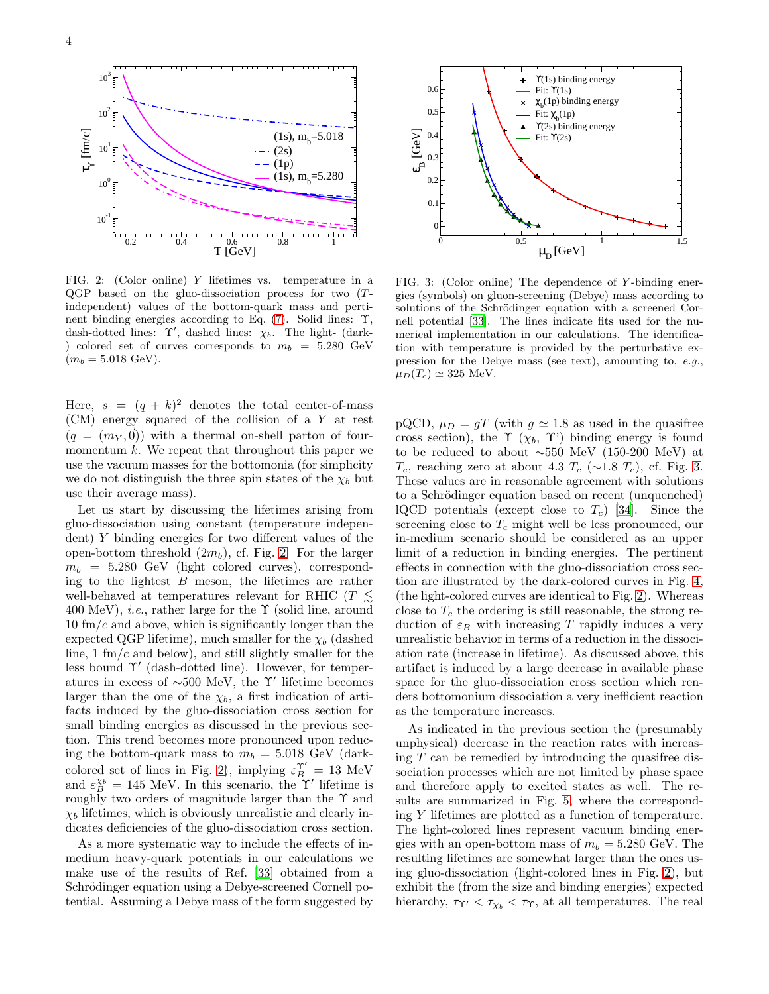

<span id="page-3-0"></span>FIG. 2: (Color online) Y lifetimes vs. temperature in a QGP based on the gluo-dissociation process for two (Tindependent) values of the bottom-quark mass and pertinent binding energies according to Eq. [\(7\)](#page-5-0). Solid lines: Υ, dash-dotted lines:  $\gamma'$ , dashed lines:  $\chi_b$ . The light- (dark-) colored set of curves corresponds to  $m_b = 5.280 \text{ GeV}$  $(m_b = 5.018 \text{ GeV}).$ 

Here,  $s = (q + k)^2$  denotes the total center-of-mass (CM) energy squared of the collision of a Y at rest  $(q = (m_Y, \vec{0}))$  with a thermal on-shell parton of fourmomentum  $k$ . We repeat that throughout this paper we use the vacuum masses for the bottomonia (for simplicity we do not distinguish the three spin states of the  $\chi_b$  but use their average mass).

Let us start by discussing the lifetimes arising from gluo-dissociation using constant (temperature independent) Y binding energies for two different values of the open-bottom threshold  $(2m_b)$ , cf. Fig. [2.](#page-3-0) For the larger  $m_b = 5.280 \text{ GeV}$  (light colored curves), corresponding to the lightest  $B$  meson, the lifetimes are rather well-behaved at temperatures relevant for RHIC ( $T \leq$ 400 MeV), *i.e.*, rather large for the  $\Upsilon$  (solid line, around  $10 \text{ fm}/c$  and above, which is significantly longer than the expected QGP lifetime), much smaller for the  $\chi_b$  (dashed line,  $1 \text{ fm}/c$  and below), and still slightly smaller for the less bound Υ′ (dash-dotted line). However, for temperatures in excess of  $\sim$ 500 MeV, the Y' lifetime becomes larger than the one of the  $\chi_b$ , a first indication of artifacts induced by the gluo-dissociation cross section for small binding energies as discussed in the previous section. This trend becomes more pronounced upon reducing the bottom-quark mass to  $m_b = 5.018$  GeV (dark-colored set of lines in Fig. [2\)](#page-3-0), implying  $\varepsilon_B^{\Upsilon'} = 13$  MeV and  $\varepsilon_B^{\chi_b} = 145$  MeV. In this scenario, the Y' lifetime is roughly two orders of magnitude larger than the  $\Upsilon$  and  $\chi_b$  lifetimes, which is obviously unrealistic and clearly indicates deficiencies of the gluo-dissociation cross section.

As a more systematic way to include the effects of inmedium heavy-quark potentials in our calculations we make use of the results of Ref. [\[33](#page-16-32)] obtained from a Schrödinger equation using a Debye-screened Cornell potential. Assuming a Debye mass of the form suggested by



<span id="page-3-1"></span>FIG. 3: (Color online) The dependence of Y -binding energies (symbols) on gluon-screening (Debye) mass according to solutions of the Schrödinger equation with a screened Cornell potential [\[33\]](#page-16-32). The lines indicate fits used for the numerical implementation in our calculations. The identification with temperature is provided by the perturbative expression for the Debye mass (see text), amounting to, e.g.,  $\mu_D(T_c) \simeq 325$  MeV.

pQCD,  $\mu_D = gT$  (with  $g \approx 1.8$  as used in the quasifree cross section), the  $\Upsilon(\chi_b, \Upsilon)$  binding energy is found to be reduced to about ∼550 MeV (150-200 MeV) at  $T_c$ , reaching zero at about 4.3  $T_c$  (∼1.8  $T_c$ ), cf. Fig. [3.](#page-3-1) These values are in reasonable agreement with solutions to a Schrödinger equation based on recent (unquenched) lQCD potentials (except close to  $T_c$ ) [\[34](#page-16-33)]. Since the screening close to  $T_c$  might well be less pronounced, our in-medium scenario should be considered as an upper limit of a reduction in binding energies. The pertinent effects in connection with the gluo-dissociation cross section are illustrated by the dark-colored curves in Fig. [4,](#page-4-2) (the light-colored curves are identical to Fig. [2\)](#page-3-0). Whereas close to  $T_c$  the ordering is still reasonable, the strong reduction of  $\varepsilon_B$  with increasing T rapidly induces a very unrealistic behavior in terms of a reduction in the dissociation rate (increase in lifetime). As discussed above, this artifact is induced by a large decrease in available phase space for the gluo-dissociation cross section which renders bottomonium dissociation a very inefficient reaction as the temperature increases.

As indicated in the previous section the (presumably unphysical) decrease in the reaction rates with increasing  $T$  can be remedied by introducing the quasifree dissociation processes which are not limited by phase space and therefore apply to excited states as well. The results are summarized in Fig. [5,](#page-4-3) where the corresponding Y lifetimes are plotted as a function of temperature. The light-colored lines represent vacuum binding energies with an open-bottom mass of  $m_b = 5.280$  GeV. The resulting lifetimes are somewhat larger than the ones using gluo-dissociation (light-colored lines in Fig. [2\)](#page-3-0), but exhibit the (from the size and binding energies) expected hierarchy,  $\tau_{\Upsilon'} < \tau_{\chi_b} < \tau_{\Upsilon}$ , at all temperatures. The real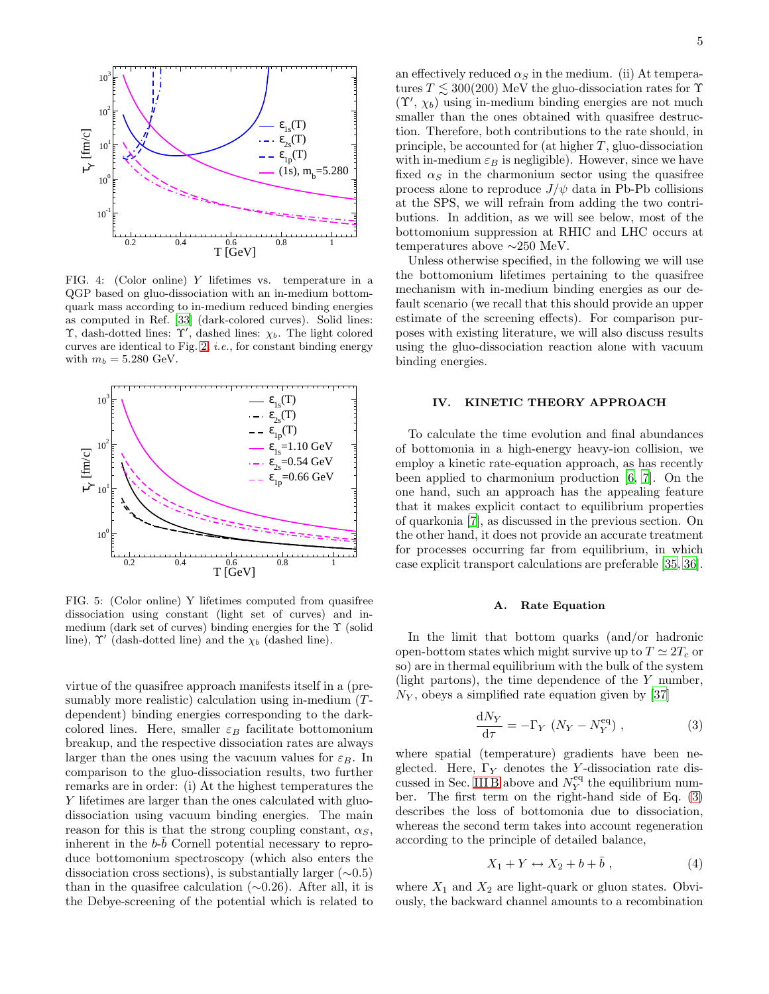

<span id="page-4-2"></span>FIG. 4: (Color online) Y lifetimes vs. temperature in a QGP based on gluo-dissociation with an in-medium bottomquark mass according to in-medium reduced binding energies as computed in Ref. [\[33](#page-16-32)] (dark-colored curves). Solid lines: Υ, dash-dotted lines:  $\Upsilon'$ , dashed lines:  $\chi_b$ . The light colored curves are identical to Fig. [2,](#page-3-0) *i.e.*, for constant binding energy with  $m_b = 5.280$  GeV.



<span id="page-4-3"></span>FIG. 5: (Color online) Y lifetimes computed from quasifree dissociation using constant (light set of curves) and inmedium (dark set of curves) binding energies for the  $\Upsilon$  (solid line),  $\Upsilon'$  (dash-dotted line) and the  $\chi_b$  (dashed line).

virtue of the quasifree approach manifests itself in a (presumably more realistic) calculation using in-medium (Tdependent) binding energies corresponding to the darkcolored lines. Here, smaller  $\varepsilon_B$  facilitate bottomonium breakup, and the respective dissociation rates are always larger than the ones using the vacuum values for  $\varepsilon_B$ . In comparison to the gluo-dissociation results, two further remarks are in order: (i) At the highest temperatures the Y lifetimes are larger than the ones calculated with gluodissociation using vacuum binding energies. The main reason for this is that the strong coupling constant,  $\alpha_S$ , inherent in the  $b\text{-}\bar{b}$  Cornell potential necessary to reproduce bottomonium spectroscopy (which also enters the dissociation cross sections), is substantially larger  $(\sim 0.5)$ than in the quasifree calculation  $(\sim 0.26)$ . After all, it is the Debye-screening of the potential which is related to an effectively reduced  $\alpha_S$  in the medium. (ii) At temperatures  $T \lesssim 300(200)$  MeV the gluo-dissociation rates for  $\Upsilon$  $(\Upsilon', \chi_b)$  using in-medium binding energies are not much smaller than the ones obtained with quasifree destruction. Therefore, both contributions to the rate should, in principle, be accounted for (at higher  $T$ , gluo-dissociation with in-medium  $\varepsilon_B$  is negligible). However, since we have fixed  $\alpha_S$  in the charmonium sector using the quasifree process alone to reproduce  $J/\psi$  data in Pb-Pb collisions at the SPS, we will refrain from adding the two contributions. In addition, as we will see below, most of the bottomonium suppression at RHIC and LHC occurs at temperatures above ∼250 MeV.

Unless otherwise specified, in the following we will use the bottomonium lifetimes pertaining to the quasifree mechanism with in-medium binding energies as our default scenario (we recall that this should provide an upper estimate of the screening effects). For comparison purposes with existing literature, we will also discuss results using the gluo-dissociation reaction alone with vacuum binding energies.

## IV. KINETIC THEORY APPROACH

<span id="page-4-0"></span>To calculate the time evolution and final abundances of bottomonia in a high-energy heavy-ion collision, we employ a kinetic rate-equation approach, as has recently been applied to charmonium production [\[6](#page-16-5), [7\]](#page-16-6). On the one hand, such an approach has the appealing feature that it makes explicit contact to equilibrium properties of quarkonia [\[7\]](#page-16-6), as discussed in the previous section. On the other hand, it does not provide an accurate treatment for processes occurring far from equilibrium, in which case explicit transport calculations are preferable [\[35](#page-16-34), [36\]](#page-16-35).

## A. Rate Equation

<span id="page-4-1"></span>In the limit that bottom quarks (and/or hadronic open-bottom states which might survive up to  $T \simeq 2T_c$  or so) are in thermal equilibrium with the bulk of the system (light partons), the time dependence of the  $Y$  number,  $N_Y$ , obeys a simplified rate equation given by [\[37\]](#page-16-36)

$$
\frac{\mathrm{d}N_Y}{\mathrm{d}\tau} = -\Gamma_Y \left( N_Y - N_Y^{\mathrm{eq}} \right) ,\qquad (3)
$$

<span id="page-4-4"></span>where spatial (temperature) gradients have been neglected. Here,  $\Gamma_Y$  denotes the Y-dissociation rate dis-cussed in Sec. [III B](#page-2-2) above and  $N_Y^{\text{eq}}$  the equilibrium number. The first term on the right-hand side of Eq. [\(3\)](#page-4-4) describes the loss of bottomonia due to dissociation, whereas the second term takes into account regeneration according to the principle of detailed balance,

$$
X_1 + Y \leftrightarrow X_2 + b + \bar{b} \tag{4}
$$

<span id="page-4-5"></span>where  $X_1$  and  $X_2$  are light-quark or gluon states. Obviously, the backward channel amounts to a recombination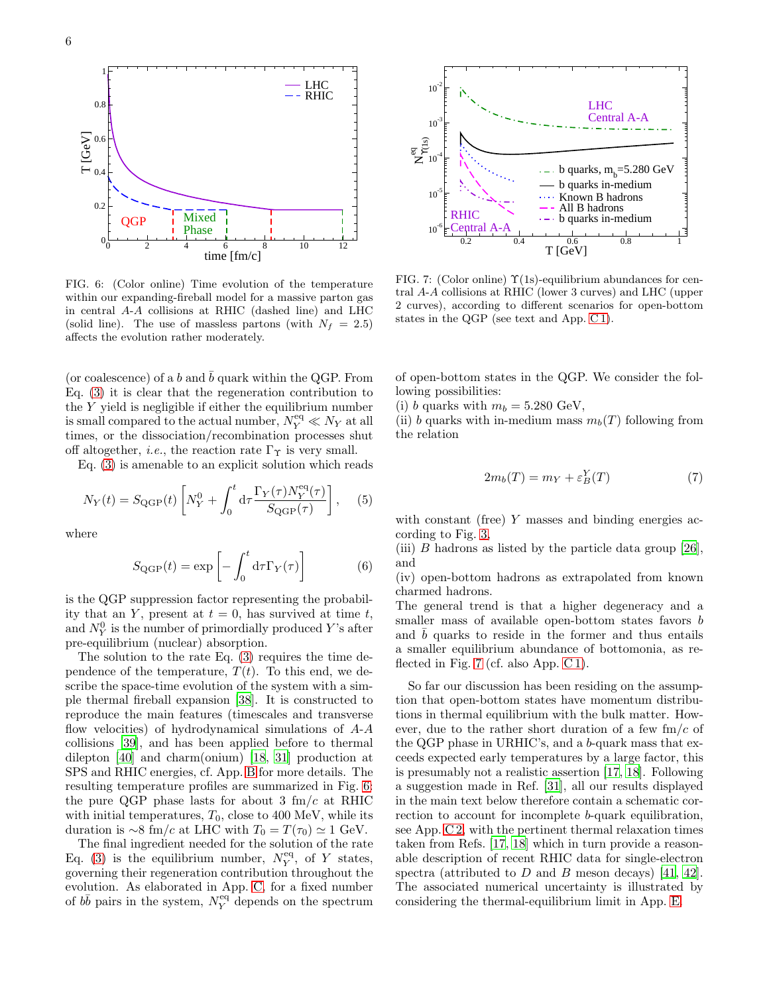

<span id="page-5-1"></span>FIG. 6: (Color online) Time evolution of the temperature within our expanding-fireball model for a massive parton gas in central A-A collisions at RHIC (dashed line) and LHC (solid line). The use of massless partons (with  $N_f = 2.5$ ) affects the evolution rather moderately.

(or coalescence) of a b and  $\bar{b}$  quark within the QGP. From Eq. [\(3\)](#page-4-4) it is clear that the regeneration contribution to the  $Y$  yield is negligible if either the equilibrium number is small compared to the actual number,  $N_Y^{\text{eq}} \ll N_Y$  at all times, or the dissociation/recombination processes shut off altogether, *i.e.*, the reaction rate  $\Gamma_{\Upsilon}$  is very small.

Eq. [\(3\)](#page-4-4) is amenable to an explicit solution which reads

$$
N_Y(t) = S_{\text{QGP}}(t) \left[ N_Y^0 + \int_0^t \mathrm{d}\tau \frac{\Gamma_Y(\tau) N_Y^{\text{eq}}(\tau)}{S_{\text{QGP}}(\tau)} \right], \quad (5)
$$

<span id="page-5-3"></span>where

$$
S_{\text{QGP}}(t) = \exp\left[-\int_0^t \mathrm{d}\tau \Gamma_Y(\tau)\right]
$$
 (6)

is the QGP suppression factor representing the probability that an Y, present at  $t = 0$ , has survived at time t, and  $N_Y^0$  is the number of primordially produced Y's after pre-equilibrium (nuclear) absorption.

The solution to the rate Eq. [\(3\)](#page-4-4) requires the time dependence of the temperature,  $T(t)$ . To this end, we describe the space-time evolution of the system with a simple thermal fireball expansion [\[38](#page-16-37)]. It is constructed to reproduce the main features (timescales and transverse flow velocities) of hydrodynamical simulations of  $A-A$ collisions [\[39](#page-16-38)], and has been applied before to thermal dilepton [\[40\]](#page-16-39) and charm(onium) [\[18,](#page-16-17) [31](#page-16-30)] production at SPS and RHIC energies, cf. App. [B](#page-12-0) for more details. The resulting temperature profiles are summarized in Fig. [6:](#page-5-1) the pure QGP phase lasts for about 3  $\text{fm}/c$  at RHIC with initial temperatures,  $T_0$ , close to 400 MeV, while its duration is ∼8 fm/c at LHC with  $T_0 = T(\tau_0) \simeq 1$  GeV.

The final ingredient needed for the solution of the rate Eq. [\(3\)](#page-4-4) is the equilibrium number,  $N_Y^{\text{eq}}$ , of Y states, governing their regeneration contribution throughout the evolution. As elaborated in App. [C,](#page-12-1) for a fixed number of  $b\bar{b}$  pairs in the system,  $N_Y^{\text{eq}}$  depends on the spectrum



<span id="page-5-2"></span>FIG. 7: (Color online)  $\Upsilon(1s)$ -equilibrium abundances for central A-A collisions at RHIC (lower 3 curves) and LHC (upper 2 curves), according to different scenarios for open-bottom states in the QGP (see text and App. [C 1\)](#page-13-0).

of open-bottom states in the QGP. We consider the following possibilities:

(i) b quarks with  $m_b = 5.280 \text{ GeV},$ 

(ii) b quarks with in-medium mass  $m_b(T)$  following from the relation

$$
2m_b(T) = m_Y + \varepsilon_B^Y(T) \tag{7}
$$

<span id="page-5-0"></span>with constant (free) Y masses and binding energies according to Fig. [3,](#page-3-1)

(iii) B hadrons as listed by the particle data group [\[26\]](#page-16-25), and

(iv) open-bottom hadrons as extrapolated from known charmed hadrons.

The general trend is that a higher degeneracy and a smaller mass of available open-bottom states favors b and  $b$  quarks to reside in the former and thus entails a smaller equilibrium abundance of bottomonia, as re-flected in Fig. [7](#page-5-2) (cf. also App. [C 1\)](#page-13-0).

So far our discussion has been residing on the assumption that open-bottom states have momentum distributions in thermal equilibrium with the bulk matter. However, due to the rather short duration of a few  $\text{fm}/c$  of the QGP phase in URHIC's, and a b-quark mass that exceeds expected early temperatures by a large factor, this is presumably not a realistic assertion [\[17](#page-16-16), [18\]](#page-16-17). Following a suggestion made in Ref. [\[31\]](#page-16-30), all our results displayed in the main text below therefore contain a schematic correction to account for incomplete b-quark equilibration, see App. [C 2,](#page-14-1) with the pertinent thermal relaxation times taken from Refs. [\[17,](#page-16-16) [18](#page-16-17)] which in turn provide a reasonable description of recent RHIC data for single-electron spectra (attributed to  $D$  and  $B$  meson decays) [\[41](#page-16-40), [42\]](#page-16-41). The associated numerical uncertainty is illustrated by considering the thermal-equilibrium limit in App. [E.](#page-15-0)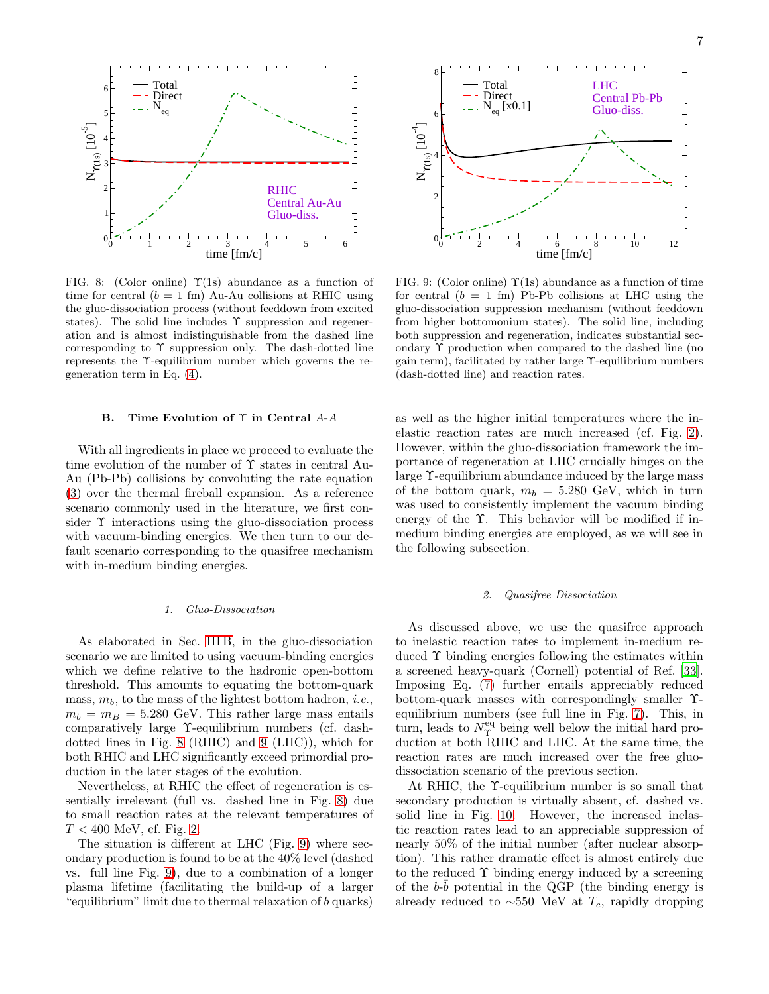

<span id="page-6-1"></span>FIG. 8: (Color online)  $\Upsilon(1s)$  abundance as a function of time for central  $(b = 1$  fm) Au-Au collisions at RHIC using the gluo-dissociation process (without feeddown from excited states). The solid line includes  $\Upsilon$  suppression and regeneration and is almost indistinguishable from the dashed line corresponding to  $\Upsilon$  suppression only. The dash-dotted line represents the Υ-equilibrium number which governs the regeneration term in Eq. [\(4\)](#page-4-5).

## B. Time Evolution of Υ in Central A-A

<span id="page-6-0"></span>With all ingredients in place we proceed to evaluate the time evolution of the number of Υ states in central Au-Au (Pb-Pb) collisions by convoluting the rate equation [\(3\)](#page-4-4) over the thermal fireball expansion. As a reference scenario commonly used in the literature, we first consider Υ interactions using the gluo-dissociation process with vacuum-binding energies. We then turn to our default scenario corresponding to the quasifree mechanism with in-medium binding energies.

#### 1. Gluo-Dissociation

As elaborated in Sec. [III B,](#page-2-2) in the gluo-dissociation scenario we are limited to using vacuum-binding energies which we define relative to the hadronic open-bottom threshold. This amounts to equating the bottom-quark mass,  $m_b$ , to the mass of the lightest bottom hadron, *i.e.*,  $m_b = m_B = 5.280$  GeV. This rather large mass entails comparatively large Υ-equilibrium numbers (cf. dashdotted lines in Fig. [8](#page-6-1) (RHIC) and [9](#page-6-2) (LHC)), which for both RHIC and LHC significantly exceed primordial production in the later stages of the evolution.

Nevertheless, at RHIC the effect of regeneration is essentially irrelevant (full vs. dashed line in Fig. [8\)](#page-6-1) due to small reaction rates at the relevant temperatures of  $T < 400$  MeV, cf. Fig. [2.](#page-3-0)

The situation is different at LHC (Fig. [9\)](#page-6-2) where secondary production is found to be at the 40% level (dashed vs. full line Fig. [9\)](#page-6-2), due to a combination of a longer plasma lifetime (facilitating the build-up of a larger "equilibrium" limit due to thermal relaxation of b quarks)



<span id="page-6-2"></span>FIG. 9: (Color online)  $\Upsilon(1s)$  abundance as a function of time for central  $(b = 1$  fm) Pb-Pb collisions at LHC using the gluo-dissociation suppression mechanism (without feeddown from higher bottomonium states). The solid line, including both suppression and regeneration, indicates substantial secondary Υ production when compared to the dashed line (no gain term), facilitated by rather large Υ-equilibrium numbers (dash-dotted line) and reaction rates.

as well as the higher initial temperatures where the inelastic reaction rates are much increased (cf. Fig. [2\)](#page-3-0). However, within the gluo-dissociation framework the importance of regeneration at LHC crucially hinges on the large Υ-equilibrium abundance induced by the large mass of the bottom quark,  $m_b = 5.280 \text{ GeV}$ , which in turn was used to consistently implement the vacuum binding energy of the Υ. This behavior will be modified if inmedium binding energies are employed, as we will see in the following subsection.

#### 2. Quasifree Dissociation

<span id="page-6-3"></span>As discussed above, we use the quasifree approach to inelastic reaction rates to implement in-medium reduced Υ binding energies following the estimates within a screened heavy-quark (Cornell) potential of Ref. [\[33\]](#page-16-32). Imposing Eq. [\(7\)](#page-5-0) further entails appreciably reduced bottom-quark masses with correspondingly smaller Υequilibrium numbers (see full line in Fig. [7\)](#page-5-2). This, in turn, leads to  $N_{\Upsilon}^{\text{eq}}$  being well below the initial hard production at both RHIC and LHC. At the same time, the reaction rates are much increased over the free gluodissociation scenario of the previous section.

At RHIC, the  $\Upsilon$ -equilibrium number is so small that secondary production is virtually absent, cf. dashed vs. solid line in Fig. [10.](#page-7-0) However, the increased inelastic reaction rates lead to an appreciable suppression of nearly 50% of the initial number (after nuclear absorption). This rather dramatic effect is almost entirely due to the reduced  $\Upsilon$  binding energy induced by a screening of the  $b\text{-}\bar{b}$  potential in the QGP (the binding energy is already reduced to  $\sim$ 550 MeV at  $T_c$ , rapidly dropping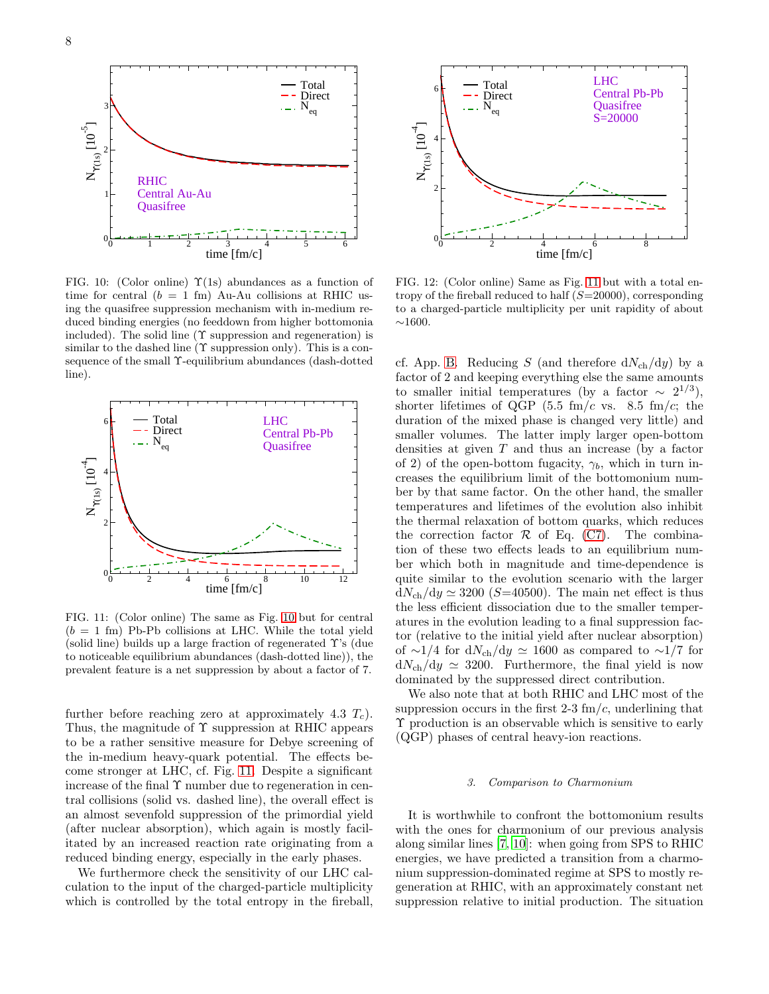

<span id="page-7-0"></span>FIG. 10: (Color online)  $\Upsilon(1s)$  abundances as a function of time for central  $(b = 1$  fm) Au-Au collisions at RHIC using the quasifree suppression mechanism with in-medium reduced binding energies (no feeddown from higher bottomonia included). The solid line  $(\Upsilon$  suppression and regeneration) is similar to the dashed line  $(\Upsilon$  suppression only). This is a consequence of the small Υ-equilibrium abundances (dash-dotted line).



<span id="page-7-1"></span>FIG. 11: (Color online) The same as Fig. [10](#page-7-0) but for central  $(b = 1$  fm) Pb-Pb collisions at LHC. While the total yield (solid line) builds up a large fraction of regenerated  $\Upsilon$ 's (due to noticeable equilibrium abundances (dash-dotted line)), the prevalent feature is a net suppression by about a factor of 7.

further before reaching zero at approximately 4.3  $T_c$ ). Thus, the magnitude of  $\Upsilon$  suppression at RHIC appears to be a rather sensitive measure for Debye screening of the in-medium heavy-quark potential. The effects become stronger at LHC, cf. Fig. [11.](#page-7-1) Despite a significant increase of the final Υ number due to regeneration in central collisions (solid vs. dashed line), the overall effect is an almost sevenfold suppression of the primordial yield (after nuclear absorption), which again is mostly facilitated by an increased reaction rate originating from a reduced binding energy, especially in the early phases.

We furthermore check the sensitivity of our LHC calculation to the input of the charged-particle multiplicity which is controlled by the total entropy in the fireball,



FIG. 12: (Color online) Same as Fig. [11](#page-7-1) but with a total entropy of the fireball reduced to half  $(S=20000)$ , corresponding to a charged-particle multiplicity per unit rapidity of about  $~1600.$ 

cf. App. [B.](#page-12-0) Reducing S (and therefore  $dN_{ch}/dy$ ) by a factor of 2 and keeping everything else the same amounts to smaller initial temperatures (by a factor  $\sim 2^{1/3}$ ), shorter lifetimes of QGP (5.5 fm/c vs. 8.5 fm/c; the duration of the mixed phase is changed very little) and smaller volumes. The latter imply larger open-bottom densities at given  $T$  and thus an increase (by a factor of 2) of the open-bottom fugacity,  $\gamma_b$ , which in turn increases the equilibrium limit of the bottomonium number by that same factor. On the other hand, the smaller temperatures and lifetimes of the evolution also inhibit the thermal relaxation of bottom quarks, which reduces the correction factor  $R$  of Eq. [\(C7\)](#page-14-2). The combination of these two effects leads to an equilibrium number which both in magnitude and time-dependence is quite similar to the evolution scenario with the larger  $dN_{ch}/dy \simeq 3200$  (S=40500). The main net effect is thus the less efficient dissociation due to the smaller temperatures in the evolution leading to a final suppression factor (relative to the initial yield after nuclear absorption) of ∼1/4 for dN<sub>ch</sub>/dy  $\simeq$  1600 as compared to ∼1/7 for  $dN_{ch}/dy \simeq 3200$ . Furthermore, the final yield is now dominated by the suppressed direct contribution.

We also note that at both RHIC and LHC most of the suppression occurs in the first 2-3  $\text{fm}/c$ , underlining that Υ production is an observable which is sensitive to early (QGP) phases of central heavy-ion reactions.

#### 3. Comparison to Charmonium

It is worthwhile to confront the bottomonium results with the ones for charmonium of our previous analysis along similar lines [\[7](#page-16-6), [10\]](#page-16-9): when going from SPS to RHIC energies, we have predicted a transition from a charmonium suppression-dominated regime at SPS to mostly regeneration at RHIC, with an approximately constant net suppression relative to initial production. The situation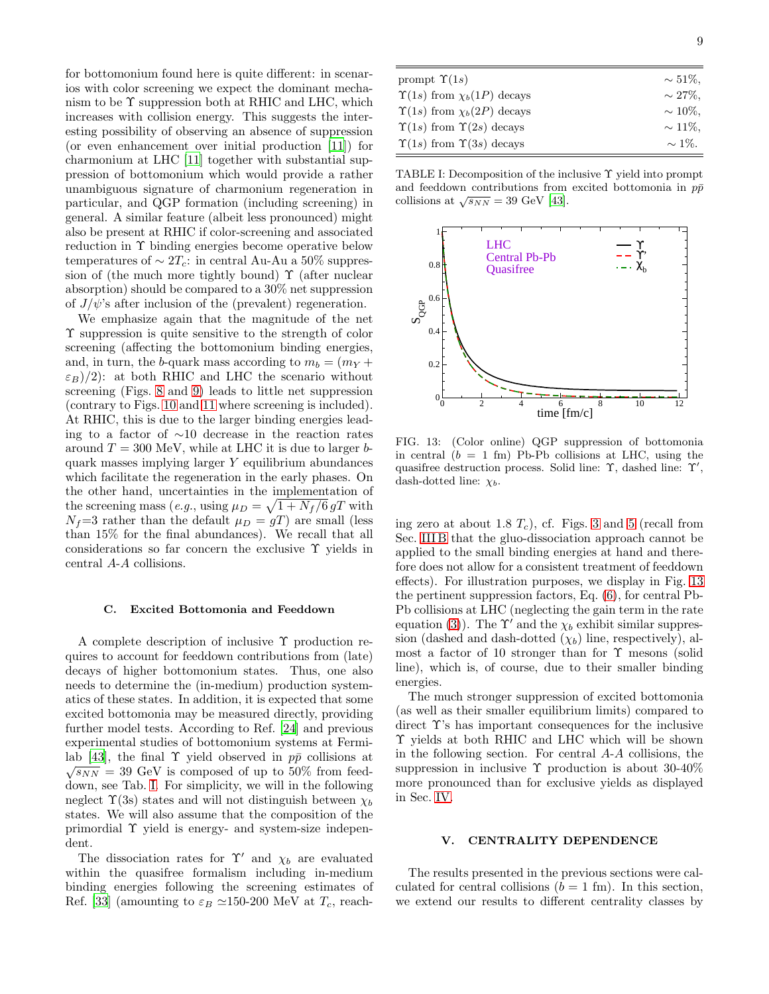for bottomonium found here is quite different: in scenarios with color screening we expect the dominant mechanism to be Υ suppression both at RHIC and LHC, which increases with collision energy. This suggests the interesting possibility of observing an absence of suppression (or even enhancement over initial production [\[11\]](#page-16-10)) for charmonium at LHC [\[11](#page-16-10)] together with substantial suppression of bottomonium which would provide a rather unambiguous signature of charmonium regeneration in particular, and QGP formation (including screening) in general. A similar feature (albeit less pronounced) might also be present at RHIC if color-screening and associated reduction in Υ binding energies become operative below temperatures of  $\sim 2T_c$ : in central Au-Au a 50% suppression of (the much more tightly bound)  $\Upsilon$  (after nuclear absorption) should be compared to a 30% net suppression of  $J/\psi$ 's after inclusion of the (prevalent) regeneration.

We emphasize again that the magnitude of the net Υ suppression is quite sensitive to the strength of color screening (affecting the bottomonium binding energies, and, in turn, the b-quark mass according to  $m_b = (m_V +$  $\varepsilon_B$ )/2): at both RHIC and LHC the scenario without screening (Figs. [8](#page-6-1) and [9\)](#page-6-2) leads to little net suppression (contrary to Figs. [10](#page-7-0) and [11](#page-7-1) where screening is included). At RHIC, this is due to the larger binding energies leading to a factor of ∼10 decrease in the reaction rates around  $T = 300$  MeV, while at LHC it is due to larger bquark masses implying larger Y equilibrium abundances which facilitate the regeneration in the early phases. On the other hand, uncertainties in the implementation of the screening mass (*e.g.*, using  $\mu_D = \sqrt{1 + N_f/6} \, gT$  with  $N_f=3$  rather than the default  $\mu_D = gT$ ) are small (less than 15% for the final abundances). We recall that all considerations so far concern the exclusive Υ yields in central A-A collisions.

#### C. Excited Bottomonia and Feeddown

<span id="page-8-0"></span>A complete description of inclusive Υ production requires to account for feeddown contributions from (late) decays of higher bottomonium states. Thus, one also needs to determine the (in-medium) production systematics of these states. In addition, it is expected that some excited bottomonia may be measured directly, providing further model tests. According to Ref. [\[24](#page-16-23)] and previous experimental studies of bottomonium systems at Fermi-lab [\[43\]](#page-16-42), the final  $\Upsilon$  yield observed in  $p\bar{p}$  collisions at  $\sqrt{s_{NN}}$  = 39 GeV is composed of up to 50% from feeddown, see Tab. [I.](#page-8-2) For simplicity, we will in the following neglect  $\Upsilon(3s)$  states and will not distinguish between  $\chi_b$ states. We will also assume that the composition of the primordial Υ yield is energy- and system-size independent.

The dissociation rates for  $\Upsilon'$  and  $\chi_b$  are evaluated within the quasifree formalism including in-medium binding energies following the screening estimates of Ref. [\[33\]](#page-16-32) (amounting to  $\varepsilon_B \simeq 150{\text -}200$  MeV at  $T_c$ , reach-

| prompt $\Upsilon(1s)$                     | $\sim 51\%$ . |
|-------------------------------------------|---------------|
| $\Upsilon(1s)$ from $\chi_b(1P)$ decays   | $\sim 27\%$ . |
| $\Upsilon(1s)$ from $\chi_b(2P)$ decays   | $\sim 10\%$ . |
| $\Upsilon(1s)$ from $\Upsilon(2s)$ decays | $\sim 11\%$ . |
| $\Upsilon(1s)$ from $\Upsilon(3s)$ decays | $\sim$ 1\%    |

<span id="page-8-2"></span>TABLE I: Decomposition of the inclusive Υ yield into prompt and feeddown contributions from excited bottomonia in  $p\bar{p}$ collisions at  $\sqrt{s_{NN}} = 39$  GeV [\[43](#page-16-42)].



<span id="page-8-3"></span>FIG. 13: (Color online) QGP suppression of bottomonia in central  $(b = 1$  fm) Pb-Pb collisions at LHC, using the quasifree destruction process. Solid line: Υ, dashed line: Υ', dash-dotted line:  $\chi_b$ .

ing zero at about 1.8  $T_c$ ), cf. Figs. [3](#page-3-1) and [5](#page-4-3) (recall from Sec. [III B](#page-2-2) that the gluo-dissociation approach cannot be applied to the small binding energies at hand and therefore does not allow for a consistent treatment of feeddown effects). For illustration purposes, we display in Fig. [13](#page-8-3) the pertinent suppression factors, Eq. [\(6\)](#page-5-3), for central Pb-Pb collisions at LHC (neglecting the gain term in the rate equation [\(3\)](#page-4-4)). The  $\Upsilon'$  and the  $\chi_b$  exhibit similar suppression (dashed and dash-dotted  $(\chi_b)$  line, respectively), almost a factor of 10 stronger than for  $\Upsilon$  mesons (solid line), which is, of course, due to their smaller binding energies.

The much stronger suppression of excited bottomonia (as well as their smaller equilibrium limits) compared to direct Υ's has important consequences for the inclusive Υ yields at both RHIC and LHC which will be shown in the following section. For central A-A collisions, the suppression in inclusive  $\Upsilon$  production is about 30-40% more pronounced than for exclusive yields as displayed in Sec. [IV.](#page-4-0)

## V. CENTRALITY DEPENDENCE

<span id="page-8-1"></span>The results presented in the previous sections were calculated for central collisions  $(b = 1$  fm). In this section, we extend our results to different centrality classes by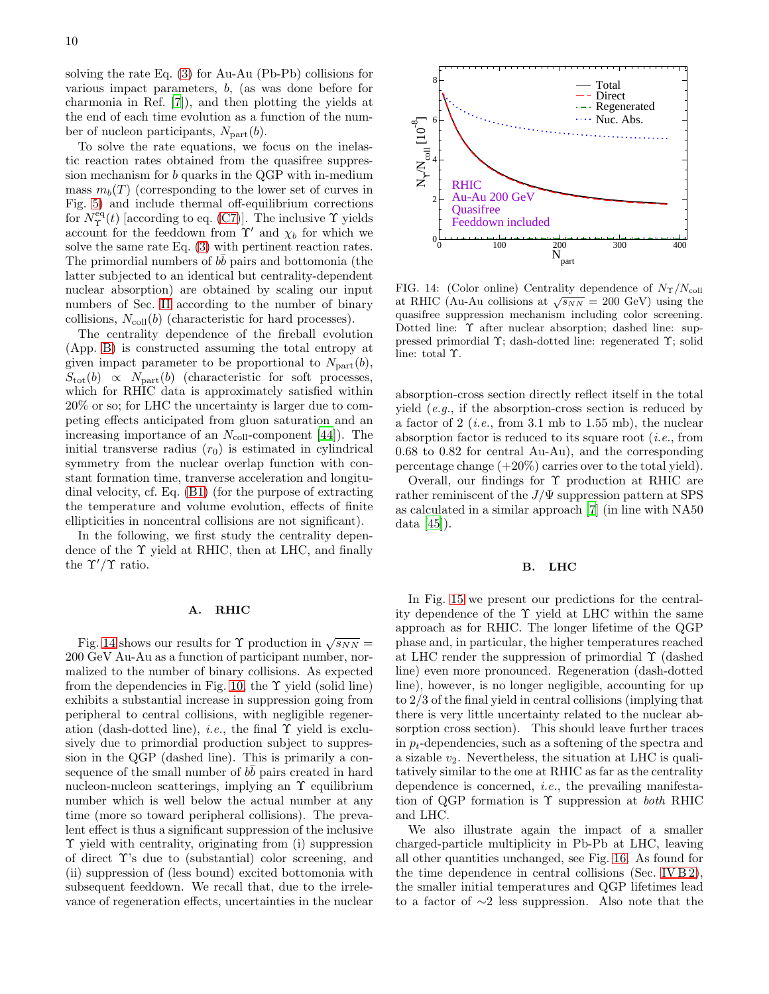solving the rate Eq. [\(3\)](#page-4-4) for Au-Au (Pb-Pb) collisions for various impact parameters, b, (as was done before for charmonia in Ref. [\[7](#page-16-6)]), and then plotting the yields at the end of each time evolution as a function of the number of nucleon participants,  $N_{part}(b)$ .

To solve the rate equations, we focus on the inelastic reaction rates obtained from the quasifree suppression mechanism for b quarks in the QGP with in-medium mass  $m_b(T)$  (corresponding to the lower set of curves in Fig. [5\)](#page-4-3) and include thermal off-equilibrium corrections for  $N_{\Upsilon}^{\text{eq}}(t)$  [according to eq. [\(C7\)](#page-14-2)]. The inclusive  $\Upsilon$  yields account for the feeddown from  $\Upsilon'$  and  $\chi_b$  for which we solve the same rate Eq. [\(3\)](#page-4-4) with pertinent reaction rates. The primordial numbers of  $b\bar{b}$  pairs and bottomonia (the latter subjected to an identical but centrality-dependent nuclear absorption) are obtained by scaling our input numbers of Sec. [II](#page-1-0) according to the number of binary collisions,  $N_{\text{coll}}(b)$  (characteristic for hard processes).

The centrality dependence of the fireball evolution (App. [B\)](#page-12-0) is constructed assuming the total entropy at given impact parameter to be proportional to  $N_{part}(b)$ ,  $S_{\text{tot}}(b) \propto N_{\text{part}}(b)$  (characteristic for soft processes, which for RHIC data is approximately satisfied within 20% or so; for LHC the uncertainty is larger due to competing effects anticipated from gluon saturation and an increasing importance of an  $N_{\text{coll}}$ -component [\[44](#page-16-43)]). The initial transverse radius  $(r_0)$  is estimated in cylindrical symmetry from the nuclear overlap function with constant formation time, tranverse acceleration and longitudinal velocity, cf. Eq. [\(B1\)](#page-12-2) (for the purpose of extracting the temperature and volume evolution, effects of finite ellipticities in noncentral collisions are not significant).

In the following, we first study the centrality dependence of the Υ yield at RHIC, then at LHC, and finally the  $\Upsilon'/\Upsilon$  ratio.

## A. RHIC

Fig. [14](#page-9-0) shows our results for  $\Upsilon$  production in  $\sqrt{s_{NN}} =$ 200 GeV Au-Au as a function of participant number, normalized to the number of binary collisions. As expected from the dependencies in Fig. [10,](#page-7-0) the  $\Upsilon$  yield (solid line) exhibits a substantial increase in suppression going from peripheral to central collisions, with negligible regeneration (dash-dotted line), *i.e.*, the final  $\Upsilon$  yield is exclusively due to primordial production subject to suppression in the QGP (dashed line). This is primarily a consequence of the small number of  $b\bar{b}$  pairs created in hard nucleon-nucleon scatterings, implying an Υ equilibrium number which is well below the actual number at any time (more so toward peripheral collisions). The prevalent effect is thus a significant suppression of the inclusive Υ yield with centrality, originating from (i) suppression of direct Υ's due to (substantial) color screening, and (ii) suppression of (less bound) excited bottomonia with subsequent feeddown. We recall that, due to the irrelevance of regeneration effects, uncertainties in the nuclear



<span id="page-9-0"></span>FIG. 14: (Color online) Centrality dependence of  $N_T/N_{\text{coll}}$ at RHIC (Au-Au collisions at  $\sqrt{s_{NN}} = 200$  GeV) using the quasifree suppression mechanism including color screening. Dotted line: Υ after nuclear absorption; dashed line: suppressed primordial Υ; dash-dotted line: regenerated Υ; solid line: total Υ.

absorption-cross section directly reflect itself in the total yield (e.g., if the absorption-cross section is reduced by a factor of 2 (*i.e.*, from 3.1 mb to 1.55 mb), the nuclear absorption factor is reduced to its square root  $(i.e., from)$ 0.68 to 0.82 for central Au-Au), and the corresponding percentage change  $(+20\%)$  carries over to the total yield).

Overall, our findings for  $\Upsilon$  production at RHIC are rather reminiscent of the  $J/\Psi$  suppression pattern at SPS as calculated in a similar approach [\[7](#page-16-6)] (in line with NA50 data [\[45\]](#page-16-44)).

#### B. LHC

In Fig. [15](#page-10-1) we present our predictions for the centrality dependence of the  $\Upsilon$  yield at LHC within the same approach as for RHIC. The longer lifetime of the QGP phase and, in particular, the higher temperatures reached at LHC render the suppression of primordial Υ (dashed line) even more pronounced. Regeneration (dash-dotted line), however, is no longer negligible, accounting for up to 2/3 of the final yield in central collisions (implying that there is very little uncertainty related to the nuclear absorption cross section). This should leave further traces in  $p_t$ -dependencies, such as a softening of the spectra and a sizable  $v_2$ . Nevertheless, the situation at LHC is qualitatively similar to the one at RHIC as far as the centrality dependence is concerned, i.e., the prevailing manifestation of QGP formation is  $\Upsilon$  suppression at *both* RHIC and LHC.

We also illustrate again the impact of a smaller charged-particle multiplicity in Pb-Pb at LHC, leaving all other quantities unchanged, see Fig. [16.](#page-10-2) As found for the time dependence in central collisions (Sec. [IV B 2\)](#page-6-3), the smaller initial temperatures and QGP lifetimes lead to a factor of ∼2 less suppression. Also note that the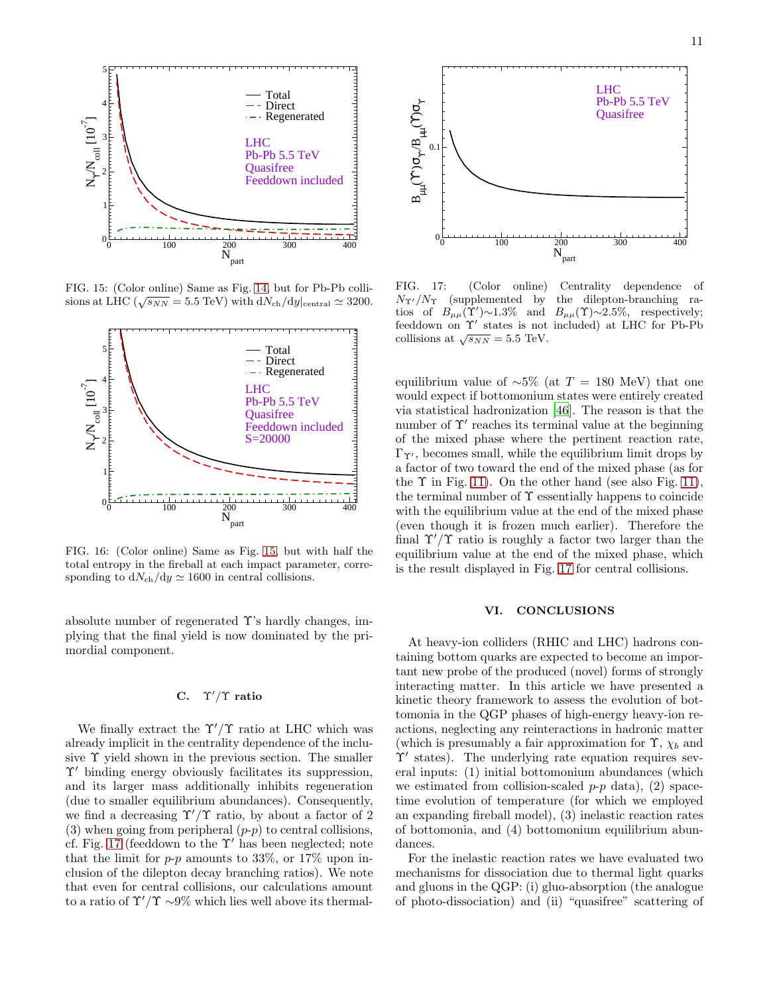

<span id="page-10-1"></span>FIG. 15: (Color online) Same as Fig. [14,](#page-9-0) but for Pb-Pb collisions at LHC ( $\sqrt{s_{NN}} = 5.5 \text{ TeV}$ ) with  $\frac{dN_{\text{ch}}}{dy}|_{\text{central}} \simeq 3200$ .



<span id="page-10-2"></span>FIG. 16: (Color online) Same as Fig. [15,](#page-10-1) but with half the total entropy in the fireball at each impact parameter, corresponding to  $dN_{ch}/dy \simeq 1600$  in central collisions.

absolute number of regenerated  $\Upsilon$ 's hardly changes, implying that the final yield is now dominated by the primordial component.

# C.  $\Upsilon'/\Upsilon$  ratio

We finally extract the  $\Upsilon'/\Upsilon$  ratio at LHC which was already implicit in the centrality dependence of the inclusive  $\Upsilon$  yield shown in the previous section. The smaller Υ′ binding energy obviously facilitates its suppression, and its larger mass additionally inhibits regeneration (due to smaller equilibrium abundances). Consequently, we find a decreasing  $\Upsilon'/\Upsilon$  ratio, by about a factor of 2 (3) when going from peripheral  $(p-p)$  to central collisions, cf. Fig. [17](#page-10-3) (feeddown to the  $\Upsilon'$  has been neglected; note that the limit for  $p-p$  amounts to 33%, or 17% upon inclusion of the dilepton decay branching ratios). We note that even for central collisions, our calculations amount to a ratio of  $\Upsilon'/\Upsilon \sim 9\%$  which lies well above its thermal-



<span id="page-10-3"></span>FIG. 17: (Color online) Centrality dependence of  $N_{\Upsilon'}/N_{\Upsilon}$  (supplemented by the dilepton-branching ratios of  $B_{\mu\mu}(\Upsilon)\sim 1.3\%$  and  $B_{\mu\mu}(\Upsilon)\sim 2.5\%$ , respectively; feeddown on Υ′ states is not included) at LHC for Pb-Pb collisions at  $\sqrt{s_{NN}} = 5.5$  TeV.

equilibrium value of  $~\sim 5\%$  (at  $T = 180$  MeV) that one would expect if bottomonium states were entirely created via statistical hadronization [\[46\]](#page-16-45). The reason is that the number of  $\Upsilon'$  reaches its terminal value at the beginning of the mixed phase where the pertinent reaction rate,  $\Gamma_{\Upsilon}$ , becomes small, while the equilibrium limit drops by a factor of two toward the end of the mixed phase (as for the  $\Upsilon$  in Fig. [11\)](#page-7-1). On the other hand (see also Fig. 11), the terminal number of  $\Upsilon$  essentially happens to coincide with the equilibrium value at the end of the mixed phase (even though it is frozen much earlier). Therefore the final  $\Upsilon'/\Upsilon$  ratio is roughly a factor two larger than the equilibrium value at the end of the mixed phase, which is the result displayed in Fig. [17](#page-10-3) for central collisions.

# VI. CONCLUSIONS

<span id="page-10-0"></span>At heavy-ion colliders (RHIC and LHC) hadrons containing bottom quarks are expected to become an important new probe of the produced (novel) forms of strongly interacting matter. In this article we have presented a kinetic theory framework to assess the evolution of bottomonia in the QGP phases of high-energy heavy-ion reactions, neglecting any reinteractions in hadronic matter (which is presumably a fair approximation for  $\Upsilon$ ,  $\chi_b$  and Υ′ states). The underlying rate equation requires several inputs: (1) initial bottomonium abundances (which we estimated from collision-scaled  $p-p$  data), (2) spacetime evolution of temperature (for which we employed an expanding fireball model), (3) inelastic reaction rates of bottomonia, and (4) bottomonium equilibrium abundances.

For the inelastic reaction rates we have evaluated two mechanisms for dissociation due to thermal light quarks and gluons in the QGP: (i) gluo-absorption (the analogue of photo-dissociation) and (ii) "quasifree" scattering of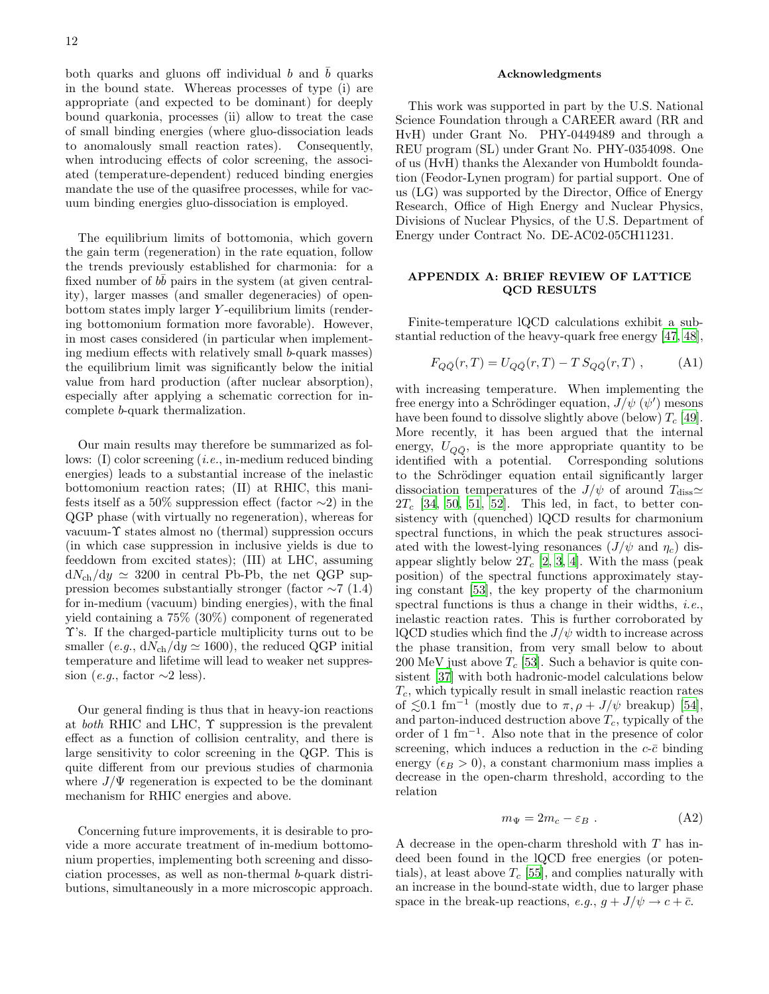both quarks and gluons off individual  $b$  and  $b$  quarks in the bound state. Whereas processes of type (i) are appropriate (and expected to be dominant) for deeply bound quarkonia, processes (ii) allow to treat the case of small binding energies (where gluo-dissociation leads to anomalously small reaction rates). Consequently, when introducing effects of color screening, the associated (temperature-dependent) reduced binding energies mandate the use of the quasifree processes, while for vacuum binding energies gluo-dissociation is employed.

The equilibrium limits of bottomonia, which govern the gain term (regeneration) in the rate equation, follow the trends previously established for charmonia: for a fixed number of  $b\bar{b}$  pairs in the system (at given centrality), larger masses (and smaller degeneracies) of openbottom states imply larger Y -equilibrium limits (rendering bottomonium formation more favorable). However, in most cases considered (in particular when implementing medium effects with relatively small b-quark masses) the equilibrium limit was significantly below the initial value from hard production (after nuclear absorption), especially after applying a schematic correction for incomplete b-quark thermalization.

Our main results may therefore be summarized as follows: (I) color screening (*i.e.*, in-medium reduced binding energies) leads to a substantial increase of the inelastic bottomonium reaction rates; (II) at RHIC, this manifests itself as a 50% suppression effect (factor  $\sim$ 2) in the QGP phase (with virtually no regeneration), whereas for vacuum-Υ states almost no (thermal) suppression occurs (in which case suppression in inclusive yields is due to feeddown from excited states); (III) at LHC, assuming  $dN_{ch}/dy \simeq 3200$  in central Pb-Pb, the net QGP suppression becomes substantially stronger (factor  $\sim$ 7 (1.4) for in-medium (vacuum) binding energies), with the final yield containing a 75% (30%) component of regenerated Υ's. If the charged-particle multiplicity turns out to be smaller (e.g.,  $dN_{ch}/dy \simeq 1600$ ), the reduced QGP initial temperature and lifetime will lead to weaker net suppression (e.g., factor  $\sim$ 2 less).

Our general finding is thus that in heavy-ion reactions at both RHIC and LHC,  $\Upsilon$  suppression is the prevalent effect as a function of collision centrality, and there is large sensitivity to color screening in the QGP. This is quite different from our previous studies of charmonia where  $J/\Psi$  regeneration is expected to be the dominant mechanism for RHIC energies and above.

Concerning future improvements, it is desirable to provide a more accurate treatment of in-medium bottomonium properties, implementing both screening and dissociation processes, as well as non-thermal b-quark distributions, simultaneously in a more microscopic approach.

#### Acknowledgments

This work was supported in part by the U.S. National Science Foundation through a CAREER award (RR and HvH) under Grant No. PHY-0449489 and through a REU program (SL) under Grant No. PHY-0354098. One of us (HvH) thanks the Alexander von Humboldt foundation (Feodor-Lynen program) for partial support. One of us (LG) was supported by the Director, Office of Energy Research, Office of High Energy and Nuclear Physics, Divisions of Nuclear Physics, of the U.S. Department of Energy under Contract No. DE-AC02-05CH11231.

# <span id="page-11-0"></span>APPENDIX A: BRIEF REVIEW OF LATTICE QCD RESULTS

Finite-temperature lQCD calculations exhibit a substantial reduction of the heavy-quark free energy [\[47](#page-16-46), [48\]](#page-16-47),

$$
F_{Q\bar{Q}}(r,T) = U_{Q\bar{Q}}(r,T) - T S_{Q\bar{Q}}(r,T) ,\qquad (A1)
$$

with increasing temperature. When implementing the free energy into a Schrödinger equation,  $J/\psi$  ( $\psi'$ ) mesons have been found to dissolve slightly above (below)  $T_c$  [\[49\]](#page-16-48). More recently, it has been argued that the internal energy,  $U_{Q\bar{Q}}$ , is the more appropriate quantity to be identified with a potential. Corresponding solutions to the Schrödinger equation entail significantly larger dissociation temperatures of the  $J/\psi$  of around  $T_{\text{diss}} \simeq$  $2T_c$  [\[34](#page-16-33), [50](#page-16-49), [51](#page-16-50), [52\]](#page-16-51). This led, in fact, to better consistency with (quenched) lQCD results for charmonium spectral functions, in which the peak structures associated with the lowest-lying resonances  $(J/\psi \text{ and } \eta_c)$  disappear slightly below  $2T_c$  [\[2,](#page-16-1) [3,](#page-16-2) [4\]](#page-16-3). With the mass (peak position) of the spectral functions approximately staying constant [\[53\]](#page-16-52), the key property of the charmonium spectral functions is thus a change in their widths, *i.e.*, inelastic reaction rates. This is further corroborated by lQCD studies which find the  $J/\psi$  width to increase across the phase transition, from very small below to about 200 MeV just above  $T_c$  [\[53\]](#page-16-52). Such a behavior is quite consistent [\[37](#page-16-36)] with both hadronic-model calculations below  $T_c$ , which typically result in small inelastic reaction rates of  $\lesssim 0.1$  fm<sup>-1</sup> (mostly due to  $\pi$ ,  $\rho$  +  $J/\psi$  breakup) [\[54\]](#page-16-53), and parton-induced destruction above  $T_c$ , typically of the order of 1 fm<sup>−</sup><sup>1</sup> . Also note that in the presence of color screening, which induces a reduction in the  $c$ - $\bar{c}$  binding energy ( $\epsilon_B > 0$ ), a constant charmonium mass implies a decrease in the open-charm threshold, according to the relation

$$
m_{\Psi} = 2m_c - \varepsilon_B \ . \tag{A2}
$$

<span id="page-11-1"></span>A decrease in the open-charm threshold with T has indeed been found in the lQCD free energies (or potentials), at least above  $T_c$  [\[55\]](#page-16-54), and complies naturally with an increase in the bound-state width, due to larger phase space in the break-up reactions,  $e.g., g + J/\psi \rightarrow c + \bar{c}$ .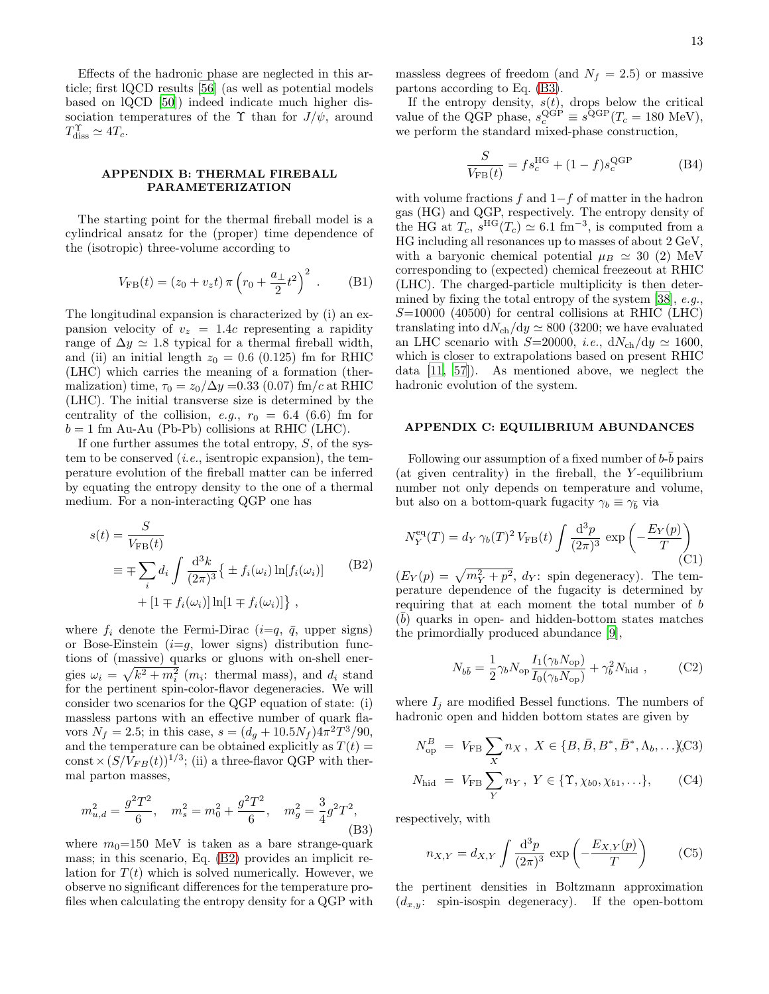Effects of the hadronic phase are neglected in this article; first lQCD results [\[56](#page-16-55)] (as well as potential models based on lQCD [\[50\]](#page-16-49)) indeed indicate much higher dissociation temperatures of the  $\Upsilon$  than for  $J/\psi$ , around  $T_{\text{diss}}^{\Upsilon} \simeq 4T_c.$ 

# APPENDIX B: THERMAL FIREBALL PARAMETERIZATION

<span id="page-12-0"></span>The starting point for the thermal fireball model is a cylindrical ansatz for the (proper) time dependence of the (isotropic) three-volume according to

$$
V_{\rm FB}(t) = (z_0 + v_z t) \pi \left( r_0 + \frac{a_\perp}{2} t^2 \right)^2 \,. \tag{B1}
$$

<span id="page-12-2"></span>The longitudinal expansion is characterized by (i) an expansion velocity of  $v_z = 1.4c$  representing a rapidity range of  $\Delta y \simeq 1.8$  typical for a thermal fireball width, and (ii) an initial length  $z_0 = 0.6$  (0.125) fm for RHIC (LHC) which carries the meaning of a formation (thermalization) time,  $\tau_0 = z_0/\Delta y = 0.33$  (0.07) fm/c at RHIC (LHC). The initial transverse size is determined by the centrality of the collision, e.g.,  $r_0 = 6.4$  (6.6) fm for  $b = 1$  fm Au-Au (Pb-Pb) collisions at RHIC (LHC).

If one further assumes the total entropy,  $S$ , of the system to be conserved  $(i.e.,$  isentropic expansion), the temperature evolution of the fireball matter can be inferred by equating the entropy density to the one of a thermal medium. For a non-interacting QGP one has

$$
s(t) = \frac{S}{V_{\text{FB}}(t)}
$$
  
\n
$$
\equiv \mp \sum_{i} d_i \int \frac{d^3k}{(2\pi)^3} \{ \pm f_i(\omega_i) \ln[f_i(\omega_i)] \}
$$
(B2)  
\n
$$
+ [1 \mp f_i(\omega_i)] \ln[1 \mp f_i(\omega_i)] \},
$$

<span id="page-12-3"></span>where  $f_i$  denote the Fermi-Dirac  $(i=q, \bar{q}, \text{ upper signs})$ or Bose-Einstein  $(i=g,$  lower signs) distribution functions of (massive) quarks or gluons with on-shell energies  $\omega_i = \sqrt{k^2 + m_i^2}$  ( $m_i$ : thermal mass), and  $d_i$  stand for the pertinent spin-color-flavor degeneracies. We will consider two scenarios for the QGP equation of state: (i) massless partons with an effective number of quark flavors  $N_f = 2.5$ ; in this case,  $s = (d_g + 10.5N_f)4\pi^2T^3/90$ , and the temperature can be obtained explicitly as  $T(t)$  = const  $\times (S/V_{FB}(t))^{1/3}$ ; (ii) a three-flavor QGP with thermal parton masses,

$$
m_{u,d}^2 = \frac{g^2 T^2}{6}
$$
,  $m_s^2 = m_0^2 + \frac{g^2 T^2}{6}$ ,  $m_g^2 = \frac{3}{4} g^2 T^2$ , (B3)

<span id="page-12-4"></span>where  $m_0=150$  MeV is taken as a bare strange-quark mass; in this scenario, Eq. [\(B2\)](#page-12-3) provides an implicit relation for  $T(t)$  which is solved numerically. However, we observe no significant differences for the temperature profiles when calculating the entropy density for a QGP with massless degrees of freedom (and  $N_f = 2.5$ ) or massive partons according to Eq. [\(B3\)](#page-12-4).

If the entropy density,  $s(t)$ , drops below the critical value of the QGP phase,  $s_c^{\text{QGP}} \equiv s^{\text{QGP}}(T_c = 180 \text{ MeV})$ , we perform the standard mixed-phase construction,

$$
\frac{S}{V_{\rm FB}(t)} = fs_c^{\rm HG} + (1 - f)s_c^{\rm QGP}
$$
 (B4)

with volume fractions  $f$  and  $1-f$  of matter in the hadron gas (HG) and QGP, respectively. The entropy density of the HG at  $T_c$ ,  $s^{\text{HG}}(T_c) \simeq 6.1 \text{ fm}^{-3}$ , is computed from a HG including all resonances up to masses of about 2 GeV, with a baryonic chemical potential  $\mu_B \simeq 30$  (2) MeV corresponding to (expected) chemical freezeout at RHIC (LHC). The charged-particle multiplicity is then determined by fixing the total entropy of the system [\[38\]](#page-16-37), e.g.,  $S=10000$  (40500) for central collisions at RHIC (LHC) translating into  $dN_{ch}/dy \simeq 800$  (3200; we have evaluated an LHC scenario with S=20000, *i.e.*,  $dN_{ch}/dy \simeq 1600$ , which is closer to extrapolations based on present RHIC data [\[11,](#page-16-10) [57\]](#page-16-56)). As mentioned above, we neglect the hadronic evolution of the system.

## APPENDIX C: EQUILIBRIUM ABUNDANCES

<span id="page-12-1"></span>Following our assumption of a fixed number of  $b$ - $\bar{b}$  pairs (at given centrality) in the fireball, the  $Y$ -equilibrium number not only depends on temperature and volume, but also on a bottom-quark fugacity  $\gamma_b \equiv \gamma_{\bar{b}}$  via

$$
N_Y^{\text{eq}}(T) = d_Y \gamma_b(T)^2 V_{\text{FB}}(t) \int \frac{\mathrm{d}^3 p}{(2\pi)^3} \exp\left(-\frac{E_Y(p)}{T}\right) \tag{C1}
$$

<span id="page-12-7"></span> $(E_Y(p) = \sqrt{m_Y^2 + p^2}, d_Y$ : spin degeneracy). The temperature dependence of the fugacity is determined by requiring that at each moment the total number of b  $(\overline{b})$  quarks in open- and hidden-bottom states matches the primordially produced abundance [\[9](#page-16-8)],

$$
N_{b\bar{b}} = \frac{1}{2} \gamma_b N_{\text{op}} \frac{I_1(\gamma_b N_{\text{op}})}{I_0(\gamma_b N_{\text{op}})} + \gamma_b^2 N_{\text{hid}} ,\qquad (C2)
$$

<span id="page-12-6"></span><span id="page-12-5"></span>where  $I_i$  are modified Bessel functions. The numbers of hadronic open and hidden bottom states are given by

$$
N_{\rm op}^B = V_{\rm FB} \sum_X n_X , \ X \in \{B, \bar{B}, B^*, \bar{B}^*, \Lambda_b, \ldots \}
$$
(C3)

$$
N_{\text{hid}} = V_{\text{FB}} \sum_{Y} n_Y, \ Y \in \{ \Upsilon, \chi_{b0}, \chi_{b1}, \ldots \}, \tag{C4}
$$

respectively, with

$$
n_{X,Y} = d_{X,Y} \int \frac{\mathrm{d}^3 p}{(2\pi)^3} \exp\left(-\frac{E_{X,Y}(p)}{T}\right) \qquad \text{(C5)}
$$

the pertinent densities in Boltzmann approximation  $(d_{x,y}:$  spin-isospin degeneracy). If the open-bottom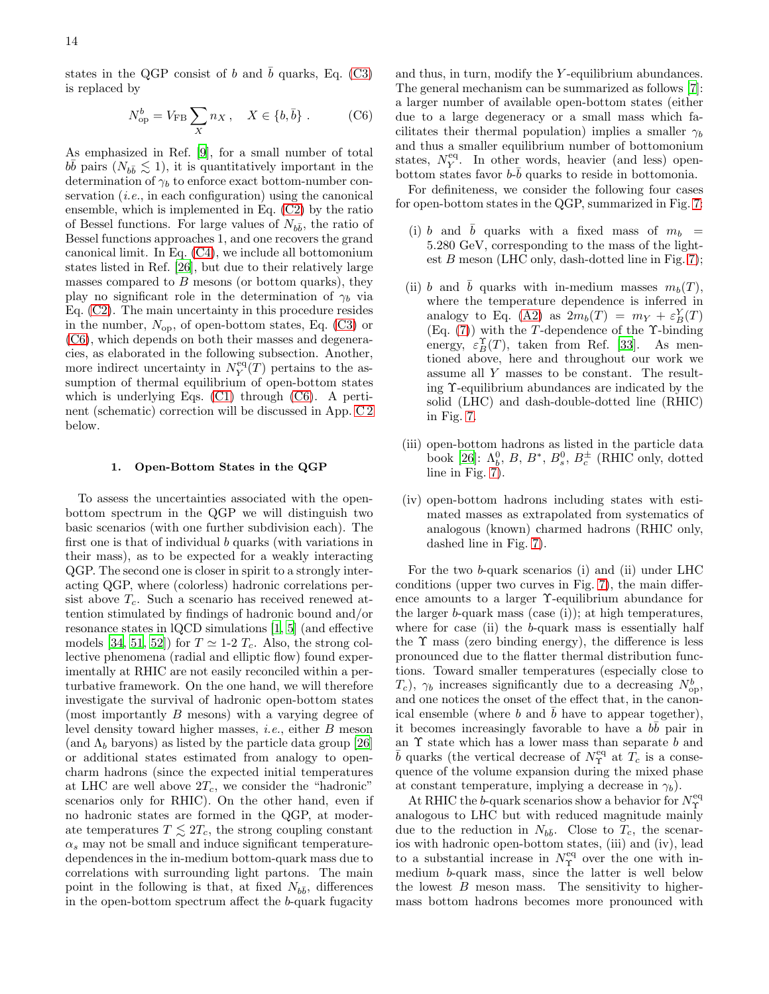<span id="page-13-1"></span>states in the QGP consist of b and b quarks, Eq.  $(C3)$ is replaced by

$$
N_{\rm op}^b = V_{\rm FB} \sum_X n_X \,, \quad X \in \{b, \bar{b}\} \,. \tag{C6}
$$

As emphasized in Ref. [\[9](#page-16-8)], for a small number of total  $b\bar{b}$  pairs  $(N_{b\bar{b}} \lesssim 1)$ , it is quantitatively important in the determination of  $\gamma_b$  to enforce exact bottom-number conservation  $(i.e., in each configuration)$  using the canonical ensemble, which is implemented in Eq. [\(C2\)](#page-12-6) by the ratio of Bessel functions. For large values of  $N_{b\bar{b}}$ , the ratio of Bessel functions approaches 1, and one recovers the grand canonical limit. In Eq. [\(C4\)](#page-12-5), we include all bottomonium states listed in Ref. [\[26\]](#page-16-25), but due to their relatively large masses compared to  $B$  mesons (or bottom quarks), they play no significant role in the determination of  $\gamma_b$  via Eq. [\(C2\)](#page-12-6). The main uncertainty in this procedure resides in the number,  $N_{op}$ , of open-bottom states, Eq. [\(C3\)](#page-12-5) or [\(C6\)](#page-13-1), which depends on both their masses and degeneracies, as elaborated in the following subsection. Another, more indirect uncertainty in  $N_Y^{\text{eq}}(T)$  pertains to the assumption of thermal equilibrium of open-bottom states which is underlying Eqs. [\(C1\)](#page-12-7) through [\(C6\)](#page-13-1). A pertinent (schematic) correction will be discussed in App. [C 2](#page-14-1) below.

#### 1. Open-Bottom States in the QGP

<span id="page-13-0"></span>To assess the uncertainties associated with the openbottom spectrum in the QGP we will distinguish two basic scenarios (with one further subdivision each). The first one is that of individual b quarks (with variations in their mass), as to be expected for a weakly interacting QGP. The second one is closer in spirit to a strongly interacting QGP, where (colorless) hadronic correlations persist above  $T_c$ . Such a scenario has received renewed attention stimulated by findings of hadronic bound and/or resonance states in lQCD simulations [\[1](#page-16-0), [5\]](#page-16-4) (and effective models [\[34](#page-16-33), [51](#page-16-50), [52](#page-16-51)]) for  $T \simeq 1-2$   $T_c$ . Also, the strong collective phenomena (radial and elliptic flow) found experimentally at RHIC are not easily reconciled within a perturbative framework. On the one hand, we will therefore investigate the survival of hadronic open-bottom states (most importantly B mesons) with a varying degree of level density toward higher masses, i.e., either B meson (and  $\Lambda_b$  baryons) as listed by the particle data group [\[26](#page-16-25)] or additional states estimated from analogy to opencharm hadrons (since the expected initial temperatures at LHC are well above  $2T_c$ , we consider the "hadronic" scenarios only for RHIC). On the other hand, even if no hadronic states are formed in the QGP, at moderate temperatures  $T \leq 2T_c$ , the strong coupling constant  $\alpha_s$  may not be small and induce significant temperaturedependences in the in-medium bottom-quark mass due to correlations with surrounding light partons. The main point in the following is that, at fixed  $N_{b\bar{b}}$ , differences in the open-bottom spectrum affect the b-quark fugacity and thus, in turn, modify the Y -equilibrium abundances. The general mechanism can be summarized as follows [\[7\]](#page-16-6): a larger number of available open-bottom states (either due to a large degeneracy or a small mass which facilitates their thermal population) implies a smaller  $\gamma_b$ and thus a smaller equilibrium number of bottomonium states,  $N_Y^{\text{eq}}$ . In other words, heavier (and less) openbottom states favor  $b-\overline{b}$  quarks to reside in bottomonia.

For definiteness, we consider the following four cases for open-bottom states in the QGP, summarized in Fig. [7:](#page-5-2)

- (i) b and  $\bar{b}$  quarks with a fixed mass of  $m_b$  = 5.280 GeV, corresponding to the mass of the lightest  $B$  meson (LHC only, dash-dotted line in Fig. [7\)](#page-5-2);
- (ii) b and  $\bar{b}$  quarks with in-medium masses  $m_b(T)$ , where the temperature dependence is inferred in analogy to Eq. [\(A2\)](#page-11-1) as  $2m_b(T) = m_Y + \varepsilon_B^Y(T)$  $(Eq. (7))$  $(Eq. (7))$  $(Eq. (7))$  with the T-dependence of the Y-binding energy,  $\varepsilon_B^{\Upsilon}(T)$ , taken from Ref. [\[33](#page-16-32)]. As mentioned above, here and throughout our work we assume all Y masses to be constant. The resulting Υ-equilibrium abundances are indicated by the solid (LHC) and dash-double-dotted line (RHIC) in Fig. [7.](#page-5-2)
- (iii) open-bottom hadrons as listed in the particle data book [\[26](#page-16-25)]:  $\Lambda_b^0$ , B, B<sup>\*</sup>, B<sup>0</sup><sub>s</sub>, B<sup>±</sup><sub>c</sub> (RHIC only, dotted line in Fig. [7\)](#page-5-2).
- (iv) open-bottom hadrons including states with estimated masses as extrapolated from systematics of analogous (known) charmed hadrons (RHIC only, dashed line in Fig. [7\)](#page-5-2).

For the two b-quark scenarios (i) and (ii) under LHC conditions (upper two curves in Fig. [7\)](#page-5-2), the main difference amounts to a larger Υ-equilibrium abundance for the larger  $b$ -quark mass (case (i)); at high temperatures, where for case  $(ii)$  the  $b$ -quark mass is essentially half the  $\Upsilon$  mass (zero binding energy), the difference is less pronounced due to the flatter thermal distribution functions. Toward smaller temperatures (especially close to  $T_c$ ),  $\gamma_b$  increases significantly due to a decreasing  $N_{\text{op}}^b$ , and one notices the onset of the effect that, in the canonical ensemble (where  $b$  and  $b$  have to appear together), it becomes increasingly favorable to have a  $b\bar{b}$  pair in an  $\Upsilon$  state which has a lower mass than separate  $b$  and  $\bar{b}$  quarks (the vertical decrease of  $N_{\Upsilon}^{\text{eq}}$  at  $\bar{T_c}$  is a consequence of the volume expansion during the mixed phase at constant temperature, implying a decrease in  $\gamma_b$ ).

At RHIC the b-quark scenarios show a behavior for  $N_{\Upsilon}^{\text{eq}}$ analogous to LHC but with reduced magnitude mainly due to the reduction in  $N_{b\bar{b}}$ . Close to  $T_c$ , the scenarios with hadronic open-bottom states, (iii) and (iv), lead to a substantial increase in  $N_{\Upsilon}^{\text{eq}}$  over the one with inmedium b-quark mass, since the latter is well below the lowest  $B$  meson mass. The sensitivity to highermass bottom hadrons becomes more pronounced with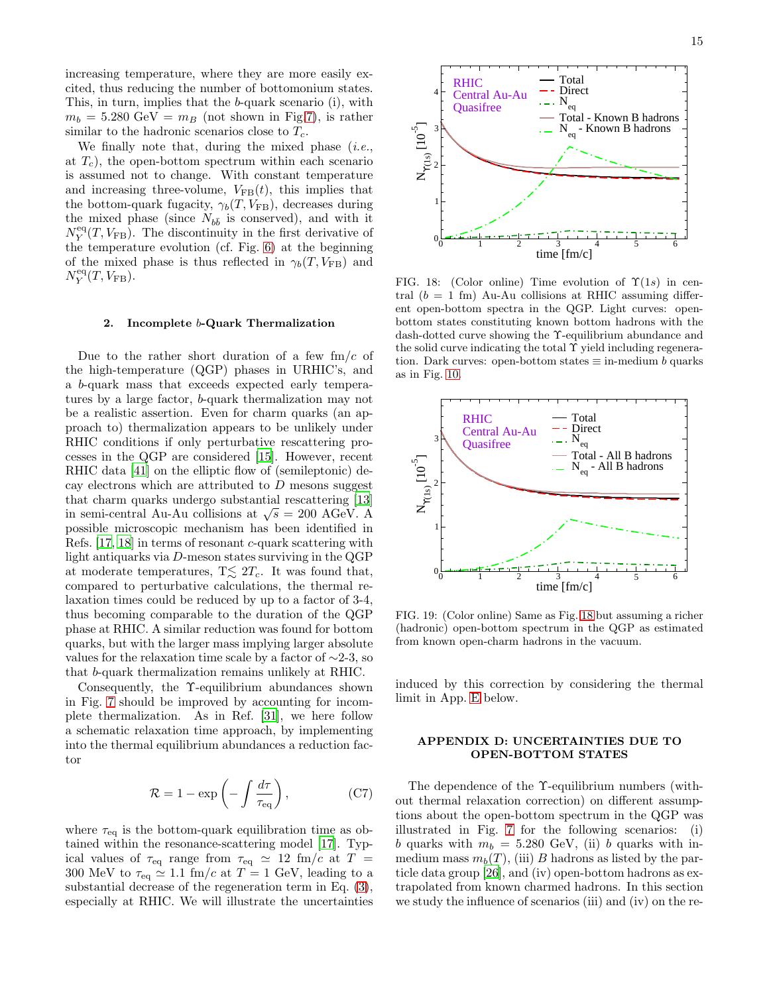increasing temperature, where they are more easily excited, thus reducing the number of bottomonium states. This, in turn, implies that the b-quark scenario (i), with  $m_b = 5.280 \text{ GeV} = m_B$  (not shown in Fig[.7\)](#page-5-2), is rather similar to the hadronic scenarios close to  $T_c$ .

We finally note that, during the mixed phase  $(i.e.,$ at  $T_c$ ), the open-bottom spectrum within each scenario is assumed not to change. With constant temperature and increasing three-volume,  $V_{FB}(t)$ , this implies that the bottom-quark fugacity,  $\gamma_b(T,V_{\rm FB}),$  decreases during the mixed phase (since  $N_{b\bar{b}}$  is conserved), and with it  $N_Y^{\text{eq}}(T, V_{\text{FB}})$ . The discontinuity in the first derivative of the temperature evolution (cf. Fig. [6\)](#page-5-1) at the beginning of the mixed phase is thus reflected in  $\gamma_b(T, V_{\text{FB}})$  and  $N_Y^{\text{eq}}(T, V_{\text{FB}})$ .

# 2. Incomplete b-Quark Thermalization

<span id="page-14-1"></span>Due to the rather short duration of a few  $\text{fm}/c$  of the high-temperature (QGP) phases in URHIC's, and a b-quark mass that exceeds expected early temperatures by a large factor, b-quark thermalization may not be a realistic assertion. Even for charm quarks (an approach to) thermalization appears to be unlikely under RHIC conditions if only perturbative rescattering processes in the QGP are considered [\[15\]](#page-16-14). However, recent RHIC data [\[41\]](#page-16-40) on the elliptic flow of (semileptonic) decay electrons which are attributed to  $D$  mesons suggest that charm quarks undergo substantial rescattering [\[13](#page-16-12)] in semi-central Au-Au collisions at  $\sqrt{s} = 200 \text{ AGeV}$ . A possible microscopic mechanism has been identified in Refs. [\[17,](#page-16-16) [18](#page-16-17)] in terms of resonant c-quark scattering with light antiquarks via D-meson states surviving in the QGP at moderate temperatures,  $T \lesssim 2T_c$ . It was found that, compared to perturbative calculations, the thermal relaxation times could be reduced by up to a factor of 3-4, thus becoming comparable to the duration of the QGP phase at RHIC. A similar reduction was found for bottom quarks, but with the larger mass implying larger absolute values for the relaxation time scale by a factor of  $\sim$ 2-3, so that b-quark thermalization remains unlikely at RHIC.

Consequently, the Υ-equilibrium abundances shown in Fig. [7](#page-5-2) should be improved by accounting for incomplete thermalization. As in Ref. [\[31](#page-16-30)], we here follow a schematic relaxation time approach, by implementing into the thermal equilibrium abundances a reduction factor

$$
\mathcal{R} = 1 - \exp\left(-\int \frac{d\tau}{\tau_{\text{eq}}}\right),\tag{C7}
$$

<span id="page-14-2"></span>where  $\tau_{\text{eq}}$  is the bottom-quark equilibration time as obtained within the resonance-scattering model [\[17\]](#page-16-16). Typical values of  $\tau_{\text{eq}}$  range from  $\tau_{\text{eq}} \simeq 12 \text{ fm/c at } T =$ 300 MeV to  $\tau_{\text{eq}} \simeq 1.1 \text{ fm}/c$  at  $T = 1 \text{ GeV}$ , leading to a substantial decrease of the regeneration term in Eq. [\(3\)](#page-4-4), especially at RHIC. We will illustrate the uncertainties



<span id="page-14-3"></span>FIG. 18: (Color online) Time evolution of  $\Upsilon(1s)$  in central  $(b = 1$  fm) Au-Au collisions at RHIC assuming different open-bottom spectra in the QGP. Light curves: openbottom states constituting known bottom hadrons with the dash-dotted curve showing the Υ-equilibrium abundance and the solid curve indicating the total  $\Upsilon$  yield including regeneration. Dark curves: open-bottom states  $\equiv$  in-medium b quarks as in Fig. [10.](#page-7-0)



<span id="page-14-4"></span>FIG. 19: (Color online) Same as Fig. [18](#page-14-3) but assuming a richer (hadronic) open-bottom spectrum in the QGP as estimated from known open-charm hadrons in the vacuum.

induced by this correction by considering the thermal limit in App. [E](#page-15-0) below.

# APPENDIX D: UNCERTAINTIES DUE TO OPEN-BOTTOM STATES

<span id="page-14-0"></span>The dependence of the Υ-equilibrium numbers (without thermal relaxation correction) on different assumptions about the open-bottom spectrum in the QGP was illustrated in Fig. [7](#page-5-2) for the following scenarios: (i) b quarks with  $m_b = 5.280$  GeV, (ii) b quarks with inmedium mass  $m_b(T)$ , (iii) B hadrons as listed by the particle data group [\[26](#page-16-25)], and (iv) open-bottom hadrons as extrapolated from known charmed hadrons. In this section we study the influence of scenarios (iii) and (iv) on the re-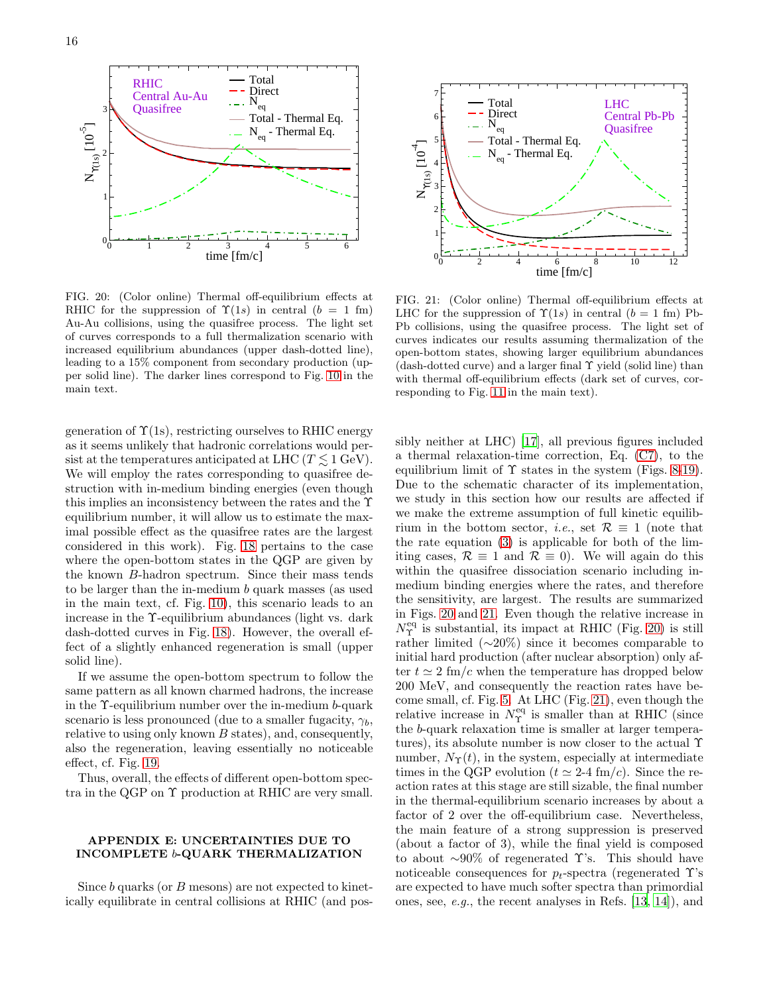

<span id="page-15-1"></span>FIG. 20: (Color online) Thermal off-equilibrium effects at RHIC for the suppression of  $\Upsilon(1s)$  in central  $(b = 1$  fm) Au-Au collisions, using the quasifree process. The light set of curves corresponds to a full thermalization scenario with increased equilibrium abundances (upper dash-dotted line), leading to a 15% component from secondary production (upper solid line). The darker lines correspond to Fig. [10](#page-7-0) in the main text.

generation of  $\Upsilon(1s)$ , restricting ourselves to RHIC energy as it seems unlikely that hadronic correlations would persist at the temperatures anticipated at LHC ( $T \leq 1$  GeV). We will employ the rates corresponding to quasifree destruction with in-medium binding energies (even though this implies an inconsistency between the rates and the Υ equilibrium number, it will allow us to estimate the maximal possible effect as the quasifree rates are the largest considered in this work). Fig. [18](#page-14-3) pertains to the case where the open-bottom states in the QGP are given by the known B-hadron spectrum. Since their mass tends to be larger than the in-medium b quark masses (as used in the main text, cf. Fig. [10\)](#page-7-0), this scenario leads to an increase in the Υ-equilibrium abundances (light vs. dark dash-dotted curves in Fig. [18\)](#page-14-3). However, the overall effect of a slightly enhanced regeneration is small (upper solid line).

If we assume the open-bottom spectrum to follow the same pattern as all known charmed hadrons, the increase in the Υ-equilibrium number over the in-medium b-quark scenario is less pronounced (due to a smaller fugacity,  $\gamma_b$ , relative to using only known B states), and, consequently, also the regeneration, leaving essentially no noticeable effect, cf. Fig. [19.](#page-14-4)

Thus, overall, the effects of different open-bottom spectra in the QGP on Υ production at RHIC are very small.

# <span id="page-15-0"></span>APPENDIX E: UNCERTAINTIES DUE TO INCOMPLETE b-QUARK THERMALIZATION

Since b quarks (or B mesons) are not expected to kinetically equilibrate in central collisions at RHIC (and pos-



<span id="page-15-2"></span>FIG. 21: (Color online) Thermal off-equilibrium effects at LHC for the suppression of  $\Upsilon(1s)$  in central  $(b = 1$  fm) Pb-Pb collisions, using the quasifree process. The light set of curves indicates our results assuming thermalization of the open-bottom states, showing larger equilibrium abundances (dash-dotted curve) and a larger final Υ yield (solid line) than with thermal off-equilibrium effects (dark set of curves, corresponding to Fig. [11](#page-7-1) in the main text).

sibly neither at LHC) [\[17\]](#page-16-16), all previous figures included a thermal relaxation-time correction, Eq. [\(C7\)](#page-14-2), to the equilibrium limit of  $\Upsilon$  states in the system (Figs. [8-](#page-6-1)[19\)](#page-14-4). Due to the schematic character of its implementation, we study in this section how our results are affected if we make the extreme assumption of full kinetic equilibrium in the bottom sector, *i.e.*, set  $\mathcal{R} \equiv 1$  (note that the rate equation [\(3\)](#page-4-4) is applicable for both of the limiting cases,  $\mathcal{R} \equiv 1$  and  $\mathcal{R} \equiv 0$ ). We will again do this within the quasifree dissociation scenario including inmedium binding energies where the rates, and therefore the sensitivity, are largest. The results are summarized in Figs. [20](#page-15-1) and [21.](#page-15-2) Even though the relative increase in  $N_{\Upsilon}^{\text{eq}}$  is substantial, its impact at RHIC (Fig. [20\)](#page-15-1) is still rather limited  $(\sim 20\%)$  since it becomes comparable to initial hard production (after nuclear absorption) only after  $t \approx 2$  fm/c when the temperature has dropped below 200 MeV, and consequently the reaction rates have become small, cf. Fig. [5.](#page-4-3) At LHC (Fig. [21\)](#page-15-2), even though the relative increase in  $N_{\Upsilon}^{\text{eq}}$  is smaller than at RHIC (since the b-quark relaxation time is smaller at larger temperatures), its absolute number is now closer to the actual Υ number,  $N_{\Upsilon}(t)$ , in the system, especially at intermediate times in the QGP evolution ( $t \approx 2-4$  fm/c). Since the reaction rates at this stage are still sizable, the final number in the thermal-equilibrium scenario increases by about a factor of 2 over the off-equilibrium case. Nevertheless, the main feature of a strong suppression is preserved (about a factor of 3), while the final yield is composed to about  $\sim 90\%$  of regenerated T's. This should have noticeable consequences for  $p_t$ -spectra (regenerated  $\Upsilon$ 's are expected to have much softer spectra than primordial ones, see, e.g., the recent analyses in Refs. [\[13](#page-16-12), [14](#page-16-13)]), and